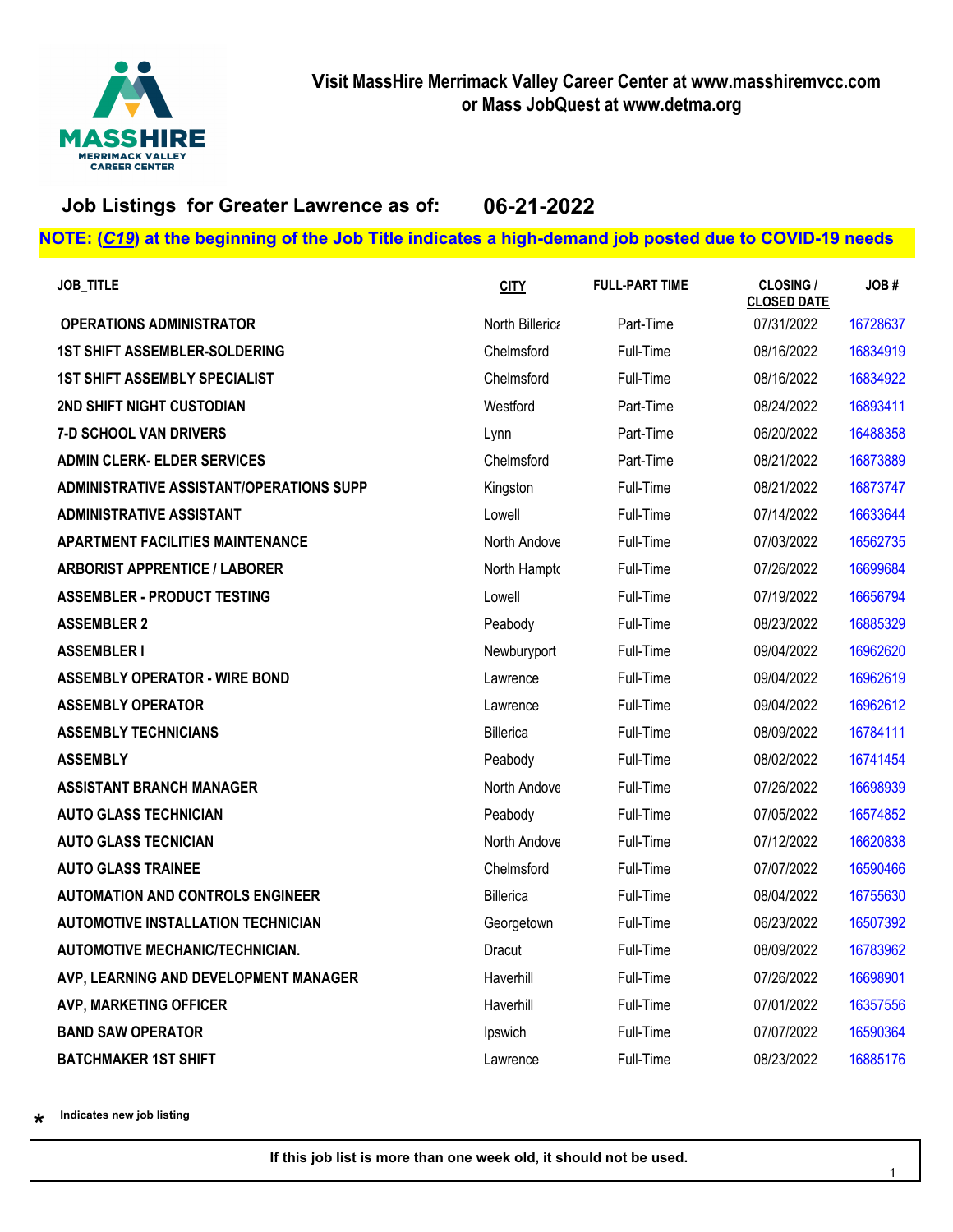

### **Job Listings for Greater Lawrence as of: 06-21-2022**

### **NOTE: (***C19***) at the beginning of the Job Title indicates a high-demand job posted due to COVID-19 needs**

| <b>JOB_TITLE</b>                          | <b>CITY</b>     | <b>FULL-PART TIME</b> | <b>CLOSING /</b><br><b>CLOSED DATE</b> | JOB#     |
|-------------------------------------------|-----------------|-----------------------|----------------------------------------|----------|
| <b>OPERATIONS ADMINISTRATOR</b>           | North Billerica | Part-Time             | 07/31/2022                             | 16728637 |
| <b>1ST SHIFT ASSEMBLER-SOLDERING</b>      | Chelmsford      | Full-Time             | 08/16/2022                             | 16834919 |
| <b>1ST SHIFT ASSEMBLY SPECIALIST</b>      | Chelmsford      | Full-Time             | 08/16/2022                             | 16834922 |
| 2ND SHIFT NIGHT CUSTODIAN                 | Westford        | Part-Time             | 08/24/2022                             | 16893411 |
| <b>7-D SCHOOL VAN DRIVERS</b>             | Lynn            | Part-Time             | 06/20/2022                             | 16488358 |
| <b>ADMIN CLERK- ELDER SERVICES</b>        | Chelmsford      | Part-Time             | 08/21/2022                             | 16873889 |
| ADMINISTRATIVE ASSISTANT/OPERATIONS SUPP  | Kingston        | Full-Time             | 08/21/2022                             | 16873747 |
| <b>ADMINISTRATIVE ASSISTANT</b>           | Lowell          | Full-Time             | 07/14/2022                             | 16633644 |
| <b>APARTMENT FACILITIES MAINTENANCE</b>   | North Andove    | Full-Time             | 07/03/2022                             | 16562735 |
| <b>ARBORIST APPRENTICE / LABORER</b>      | North Hampto    | Full-Time             | 07/26/2022                             | 16699684 |
| <b>ASSEMBLER - PRODUCT TESTING</b>        | Lowell          | Full-Time             | 07/19/2022                             | 16656794 |
| <b>ASSEMBLER 2</b>                        | Peabody         | Full-Time             | 08/23/2022                             | 16885329 |
| <b>ASSEMBLER I</b>                        | Newburyport     | Full-Time             | 09/04/2022                             | 16962620 |
| <b>ASSEMBLY OPERATOR - WIRE BOND</b>      | Lawrence        | Full-Time             | 09/04/2022                             | 16962619 |
| <b>ASSEMBLY OPERATOR</b>                  | Lawrence        | Full-Time             | 09/04/2022                             | 16962612 |
| <b>ASSEMBLY TECHNICIANS</b>               | Billerica       | Full-Time             | 08/09/2022                             | 16784111 |
| <b>ASSEMBLY</b>                           | Peabody         | Full-Time             | 08/02/2022                             | 16741454 |
| <b>ASSISTANT BRANCH MANAGER</b>           | North Andove    | Full-Time             | 07/26/2022                             | 16698939 |
| <b>AUTO GLASS TECHNICIAN</b>              | Peabody         | Full-Time             | 07/05/2022                             | 16574852 |
| <b>AUTO GLASS TECNICIAN</b>               | North Andove    | Full-Time             | 07/12/2022                             | 16620838 |
| <b>AUTO GLASS TRAINEE</b>                 | Chelmsford      | Full-Time             | 07/07/2022                             | 16590466 |
| <b>AUTOMATION AND CONTROLS ENGINEER</b>   | Billerica       | Full-Time             | 08/04/2022                             | 16755630 |
| <b>AUTOMOTIVE INSTALLATION TECHNICIAN</b> | Georgetown      | Full-Time             | 06/23/2022                             | 16507392 |
| <b>AUTOMOTIVE MECHANIC/TECHNICIAN.</b>    | Dracut          | Full-Time             | 08/09/2022                             | 16783962 |
| AVP, LEARNING AND DEVELOPMENT MANAGER     | Haverhill       | Full-Time             | 07/26/2022                             | 16698901 |
| <b>AVP, MARKETING OFFICER</b>             | Haverhill       | Full-Time             | 07/01/2022                             | 16357556 |
| <b>BAND SAW OPERATOR</b>                  | Ipswich         | Full-Time             | 07/07/2022                             | 16590364 |
| <b>BATCHMAKER 1ST SHIFT</b>               | Lawrence        | Full-Time             | 08/23/2022                             | 16885176 |

\*\* **Indicates new job listing**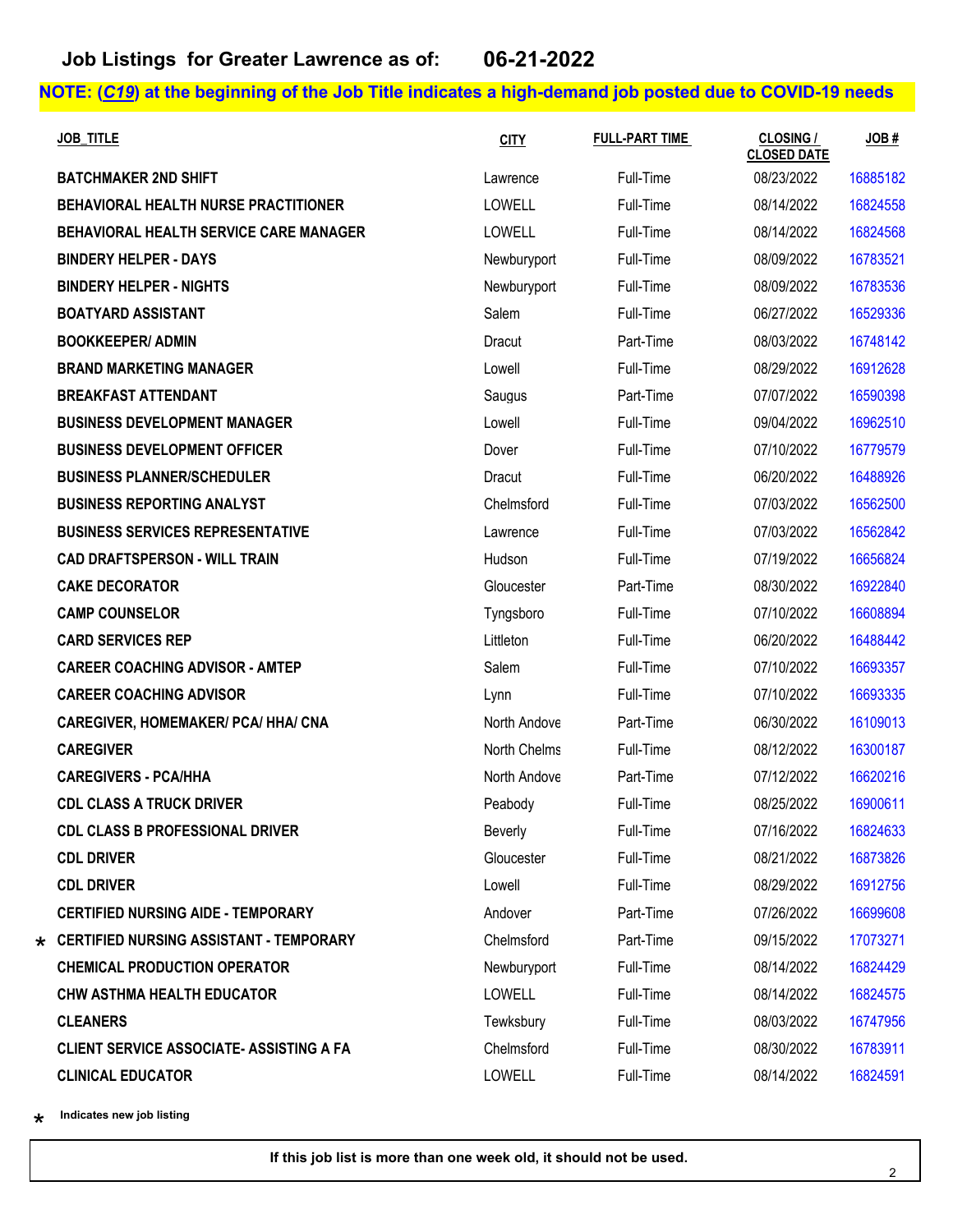| <b>JOB TITLE</b>                                | <b>CITY</b>    | <b>FULL-PART TIME</b> | <b>CLOSING /</b><br><b>CLOSED DATE</b> | JOB#     |
|-------------------------------------------------|----------------|-----------------------|----------------------------------------|----------|
| <b>BATCHMAKER 2ND SHIFT</b>                     | Lawrence       | Full-Time             | 08/23/2022                             | 16885182 |
| BEHAVIORAL HEALTH NURSE PRACTITIONER            | LOWELL         | Full-Time             | 08/14/2022                             | 16824558 |
| BEHAVIORAL HEALTH SERVICE CARE MANAGER          | <b>LOWELL</b>  | Full-Time             | 08/14/2022                             | 16824568 |
| <b>BINDERY HELPER - DAYS</b>                    | Newburyport    | Full-Time             | 08/09/2022                             | 16783521 |
| <b>BINDERY HELPER - NIGHTS</b>                  | Newburyport    | Full-Time             | 08/09/2022                             | 16783536 |
| <b>BOATYARD ASSISTANT</b>                       | Salem          | Full-Time             | 06/27/2022                             | 16529336 |
| <b>BOOKKEEPER/ ADMIN</b>                        | Dracut         | Part-Time             | 08/03/2022                             | 16748142 |
| <b>BRAND MARKETING MANAGER</b>                  | Lowell         | Full-Time             | 08/29/2022                             | 16912628 |
| <b>BREAKFAST ATTENDANT</b>                      | Saugus         | Part-Time             | 07/07/2022                             | 16590398 |
| <b>BUSINESS DEVELOPMENT MANAGER</b>             | Lowell         | Full-Time             | 09/04/2022                             | 16962510 |
| <b>BUSINESS DEVELOPMENT OFFICER</b>             | Dover          | Full-Time             | 07/10/2022                             | 16779579 |
| <b>BUSINESS PLANNER/SCHEDULER</b>               | Dracut         | Full-Time             | 06/20/2022                             | 16488926 |
| <b>BUSINESS REPORTING ANALYST</b>               | Chelmsford     | Full-Time             | 07/03/2022                             | 16562500 |
| <b>BUSINESS SERVICES REPRESENTATIVE</b>         | Lawrence       | Full-Time             | 07/03/2022                             | 16562842 |
| <b>CAD DRAFTSPERSON - WILL TRAIN</b>            | Hudson         | Full-Time             | 07/19/2022                             | 16656824 |
| <b>CAKE DECORATOR</b>                           | Gloucester     | Part-Time             | 08/30/2022                             | 16922840 |
| <b>CAMP COUNSELOR</b>                           | Tyngsboro      | Full-Time             | 07/10/2022                             | 16608894 |
| <b>CARD SERVICES REP</b>                        | Littleton      | Full-Time             | 06/20/2022                             | 16488442 |
| <b>CAREER COACHING ADVISOR - AMTEP</b>          | Salem          | Full-Time             | 07/10/2022                             | 16693357 |
| <b>CAREER COACHING ADVISOR</b>                  | Lynn           | Full-Time             | 07/10/2022                             | 16693335 |
| <b>CAREGIVER, HOMEMAKER/ PCA/ HHA/ CNA</b>      | North Andove   | Part-Time             | 06/30/2022                             | 16109013 |
| <b>CAREGIVER</b>                                | North Chelms   | Full-Time             | 08/12/2022                             | 16300187 |
| <b>CAREGIVERS - PCA/HHA</b>                     | North Andove   | Part-Time             | 07/12/2022                             | 16620216 |
| <b>CDL CLASS A TRUCK DRIVER</b>                 | Peabody        | Full-Time             | 08/25/2022                             | 16900611 |
| <b>CDL CLASS B PROFESSIONAL DRIVER</b>          | <b>Beverly</b> | Full-Time             | 07/16/2022                             | 16824633 |
| <b>CDL DRIVER</b>                               | Gloucester     | Full-Time             | 08/21/2022                             | 16873826 |
| <b>CDL DRIVER</b>                               | Lowell         | Full-Time             | 08/29/2022                             | 16912756 |
| <b>CERTIFIED NURSING AIDE - TEMPORARY</b>       | Andover        | Part-Time             | 07/26/2022                             | 16699608 |
| $\star$ CERTIFIED NURSING ASSISTANT - TEMPORARY | Chelmsford     | Part-Time             | 09/15/2022                             | 17073271 |
| <b>CHEMICAL PRODUCTION OPERATOR</b>             | Newburyport    | Full-Time             | 08/14/2022                             | 16824429 |
| <b>CHW ASTHMA HEALTH EDUCATOR</b>               | <b>LOWELL</b>  | Full-Time             | 08/14/2022                             | 16824575 |
| <b>CLEANERS</b>                                 | Tewksbury      | Full-Time             | 08/03/2022                             | 16747956 |
| <b>CLIENT SERVICE ASSOCIATE- ASSISTING A FA</b> | Chelmsford     | Full-Time             | 08/30/2022                             | 16783911 |
| <b>CLINICAL EDUCATOR</b>                        | LOWELL         | Full-Time             | 08/14/2022                             | 16824591 |

\*\* **Indicates new job listing**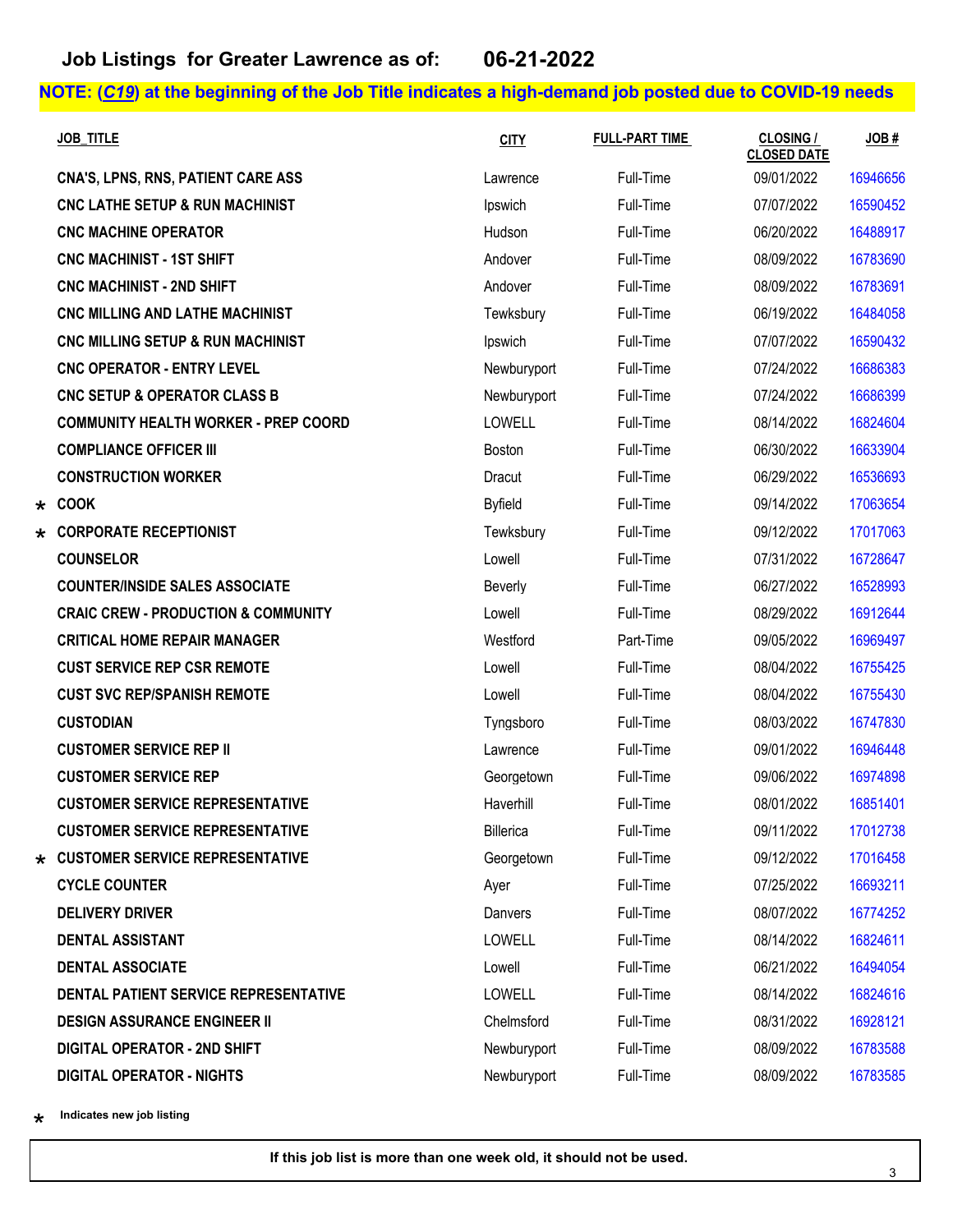|         | <b>JOB TITLE</b>                               | <b>CITY</b>    | <b>FULL-PART TIME</b> | <b>CLOSING /</b><br><b>CLOSED DATE</b> | JOB#     |
|---------|------------------------------------------------|----------------|-----------------------|----------------------------------------|----------|
|         | <b>CNA'S, LPNS, RNS, PATIENT CARE ASS</b>      | Lawrence       | Full-Time             | 09/01/2022                             | 16946656 |
|         | <b>CNC LATHE SETUP &amp; RUN MACHINIST</b>     | Ipswich        | Full-Time             | 07/07/2022                             | 16590452 |
|         | <b>CNC MACHINE OPERATOR</b>                    | Hudson         | Full-Time             | 06/20/2022                             | 16488917 |
|         | <b>CNC MACHINIST - 1ST SHIFT</b>               | Andover        | Full-Time             | 08/09/2022                             | 16783690 |
|         | <b>CNC MACHINIST - 2ND SHIFT</b>               | Andover        | Full-Time             | 08/09/2022                             | 16783691 |
|         | <b>CNC MILLING AND LATHE MACHINIST</b>         | Tewksbury      | Full-Time             | 06/19/2022                             | 16484058 |
|         | CNC MILLING SETUP & RUN MACHINIST              | Ipswich        | Full-Time             | 07/07/2022                             | 16590432 |
|         | <b>CNC OPERATOR - ENTRY LEVEL</b>              | Newburyport    | Full-Time             | 07/24/2022                             | 16686383 |
|         | CNC SETUP & OPERATOR CLASS B                   | Newburyport    | Full-Time             | 07/24/2022                             | 16686399 |
|         | <b>COMMUNITY HEALTH WORKER - PREP COORD</b>    | LOWELL         | Full-Time             | 08/14/2022                             | 16824604 |
|         | <b>COMPLIANCE OFFICER III</b>                  | Boston         | Full-Time             | 06/30/2022                             | 16633904 |
|         | <b>CONSTRUCTION WORKER</b>                     | Dracut         | Full-Time             | 06/29/2022                             | 16536693 |
|         | $\star$ COOK                                   | <b>Byfield</b> | Full-Time             | 09/14/2022                             | 17063654 |
|         | <b>CORPORATE RECEPTIONIST</b>                  | Tewksbury      | Full-Time             | 09/12/2022                             | 17017063 |
|         | <b>COUNSELOR</b>                               | Lowell         | Full-Time             | 07/31/2022                             | 16728647 |
|         | <b>COUNTER/INSIDE SALES ASSOCIATE</b>          | Beverly        | Full-Time             | 06/27/2022                             | 16528993 |
|         | <b>CRAIC CREW - PRODUCTION &amp; COMMUNITY</b> | Lowell         | Full-Time             | 08/29/2022                             | 16912644 |
|         | <b>CRITICAL HOME REPAIR MANAGER</b>            | Westford       | Part-Time             | 09/05/2022                             | 16969497 |
|         | <b>CUST SERVICE REP CSR REMOTE</b>             | Lowell         | Full-Time             | 08/04/2022                             | 16755425 |
|         | <b>CUST SVC REP/SPANISH REMOTE</b>             | Lowell         | Full-Time             | 08/04/2022                             | 16755430 |
|         | <b>CUSTODIAN</b>                               | Tyngsboro      | Full-Time             | 08/03/2022                             | 16747830 |
|         | <b>CUSTOMER SERVICE REP II</b>                 | Lawrence       | Full-Time             | 09/01/2022                             | 16946448 |
|         | <b>CUSTOMER SERVICE REP</b>                    | Georgetown     | Full-Time             | 09/06/2022                             | 16974898 |
|         | <b>CUSTOMER SERVICE REPRESENTATIVE</b>         | Haverhill      | Full-Time             | 08/01/2022                             | 16851401 |
|         | <b>CUSTOMER SERVICE REPRESENTATIVE</b>         | Billerica      | Full-Time             | 09/11/2022                             | 17012738 |
| $\star$ | <b>CUSTOMER SERVICE REPRESENTATIVE</b>         | Georgetown     | Full-Time             | 09/12/2022                             | 17016458 |
|         | <b>CYCLE COUNTER</b>                           | Ayer           | Full-Time             | 07/25/2022                             | 16693211 |
|         | <b>DELIVERY DRIVER</b>                         | Danvers        | Full-Time             | 08/07/2022                             | 16774252 |
|         | <b>DENTAL ASSISTANT</b>                        | <b>LOWELL</b>  | Full-Time             | 08/14/2022                             | 16824611 |
|         | <b>DENTAL ASSOCIATE</b>                        | Lowell         | Full-Time             | 06/21/2022                             | 16494054 |
|         | DENTAL PATIENT SERVICE REPRESENTATIVE          | <b>LOWELL</b>  | Full-Time             | 08/14/2022                             | 16824616 |
|         | <b>DESIGN ASSURANCE ENGINEER II</b>            | Chelmsford     | Full-Time             | 08/31/2022                             | 16928121 |
|         | <b>DIGITAL OPERATOR - 2ND SHIFT</b>            | Newburyport    | Full-Time             | 08/09/2022                             | 16783588 |
|         | <b>DIGITAL OPERATOR - NIGHTS</b>               | Newburyport    | Full-Time             | 08/09/2022                             | 16783585 |

\*\* **Indicates new job listing**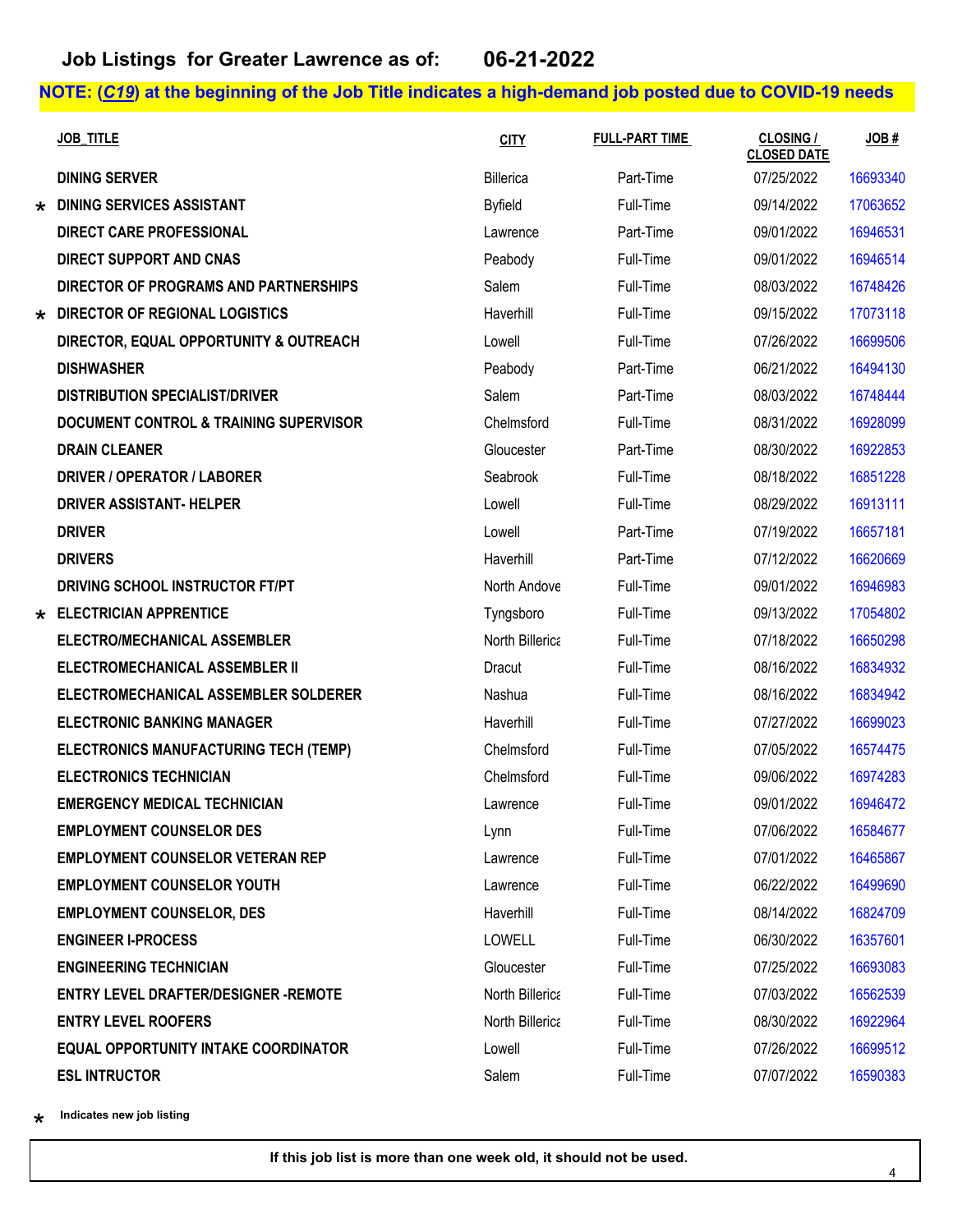|         | <b>JOB TITLE</b>                                  | <b>CITY</b>     | <b>FULL-PART TIME</b> | <b>CLOSING /</b><br><b>CLOSED DATE</b> | JOB#     |
|---------|---------------------------------------------------|-----------------|-----------------------|----------------------------------------|----------|
|         | <b>DINING SERVER</b>                              | Billerica       | Part-Time             | 07/25/2022                             | 16693340 |
| $\star$ | <b>DINING SERVICES ASSISTANT</b>                  | <b>Byfield</b>  | Full-Time             | 09/14/2022                             | 17063652 |
|         | <b>DIRECT CARE PROFESSIONAL</b>                   | Lawrence        | Part-Time             | 09/01/2022                             | 16946531 |
|         | <b>DIRECT SUPPORT AND CNAS</b>                    | Peabody         | Full-Time             | 09/01/2022                             | 16946514 |
|         | DIRECTOR OF PROGRAMS AND PARTNERSHIPS             | Salem           | Full-Time             | 08/03/2022                             | 16748426 |
|         | * DIRECTOR OF REGIONAL LOGISTICS                  | Haverhill       | Full-Time             | 09/15/2022                             | 17073118 |
|         | DIRECTOR, EQUAL OPPORTUNITY & OUTREACH            | Lowell          | Full-Time             | 07/26/2022                             | 16699506 |
|         | <b>DISHWASHER</b>                                 | Peabody         | Part-Time             | 06/21/2022                             | 16494130 |
|         | <b>DISTRIBUTION SPECIALIST/DRIVER</b>             | Salem           | Part-Time             | 08/03/2022                             | 16748444 |
|         | <b>DOCUMENT CONTROL &amp; TRAINING SUPERVISOR</b> | Chelmsford      | Full-Time             | 08/31/2022                             | 16928099 |
|         | <b>DRAIN CLEANER</b>                              | Gloucester      | Part-Time             | 08/30/2022                             | 16922853 |
|         | <b>DRIVER / OPERATOR / LABORER</b>                | Seabrook        | Full-Time             | 08/18/2022                             | 16851228 |
|         | <b>DRIVER ASSISTANT- HELPER</b>                   | Lowell          | Full-Time             | 08/29/2022                             | 16913111 |
|         | <b>DRIVER</b>                                     | Lowell          | Part-Time             | 07/19/2022                             | 16657181 |
|         | <b>DRIVERS</b>                                    | Haverhill       | Part-Time             | 07/12/2022                             | 16620669 |
|         | DRIVING SCHOOL INSTRUCTOR FT/PT                   | North Andove    | Full-Time             | 09/01/2022                             | 16946983 |
| $\star$ | <b>ELECTRICIAN APPRENTICE</b>                     | Tyngsboro       | Full-Time             | 09/13/2022                             | 17054802 |
|         | ELECTRO/MECHANICAL ASSEMBLER                      | North Billerica | Full-Time             | 07/18/2022                             | 16650298 |
|         | ELECTROMECHANICAL ASSEMBLER II                    | Dracut          | Full-Time             | 08/16/2022                             | 16834932 |
|         | ELECTROMECHANICAL ASSEMBLER SOLDERER              | Nashua          | Full-Time             | 08/16/2022                             | 16834942 |
|         | <b>ELECTRONIC BANKING MANAGER</b>                 | Haverhill       | Full-Time             | 07/27/2022                             | 16699023 |
|         | ELECTRONICS MANUFACTURING TECH (TEMP)             | Chelmsford      | Full-Time             | 07/05/2022                             | 16574475 |
|         | <b>ELECTRONICS TECHNICIAN</b>                     | Chelmsford      | Full-Time             | 09/06/2022                             | 16974283 |
|         | <b>EMERGENCY MEDICAL TECHNICIAN</b>               | Lawrence        | Full-Time             | 09/01/2022                             | 16946472 |
|         | <b>EMPLOYMENT COUNSELOR DES</b>                   | Lynn            | Full-Time             | 07/06/2022                             | 16584677 |
|         | <b>EMPLOYMENT COUNSELOR VETERAN REP</b>           | Lawrence        | Full-Time             | 07/01/2022                             | 16465867 |
|         | <b>EMPLOYMENT COUNSELOR YOUTH</b>                 | Lawrence        | Full-Time             | 06/22/2022                             | 16499690 |
|         | <b>EMPLOYMENT COUNSELOR, DES</b>                  | Haverhill       | Full-Time             | 08/14/2022                             | 16824709 |
|         | <b>ENGINEER I-PROCESS</b>                         | <b>LOWELL</b>   | Full-Time             | 06/30/2022                             | 16357601 |
|         | <b>ENGINEERING TECHNICIAN</b>                     | Gloucester      | Full-Time             | 07/25/2022                             | 16693083 |
|         | <b>ENTRY LEVEL DRAFTER/DESIGNER -REMOTE</b>       | North Billerica | Full-Time             | 07/03/2022                             | 16562539 |
|         | <b>ENTRY LEVEL ROOFERS</b>                        | North Billerica | Full-Time             | 08/30/2022                             | 16922964 |
|         | <b>EQUAL OPPORTUNITY INTAKE COORDINATOR</b>       | Lowell          | Full-Time             | 07/26/2022                             | 16699512 |
|         | <b>ESL INTRUCTOR</b>                              | Salem           | Full-Time             | 07/07/2022                             | 16590383 |

\*\* **Indicates new job listing**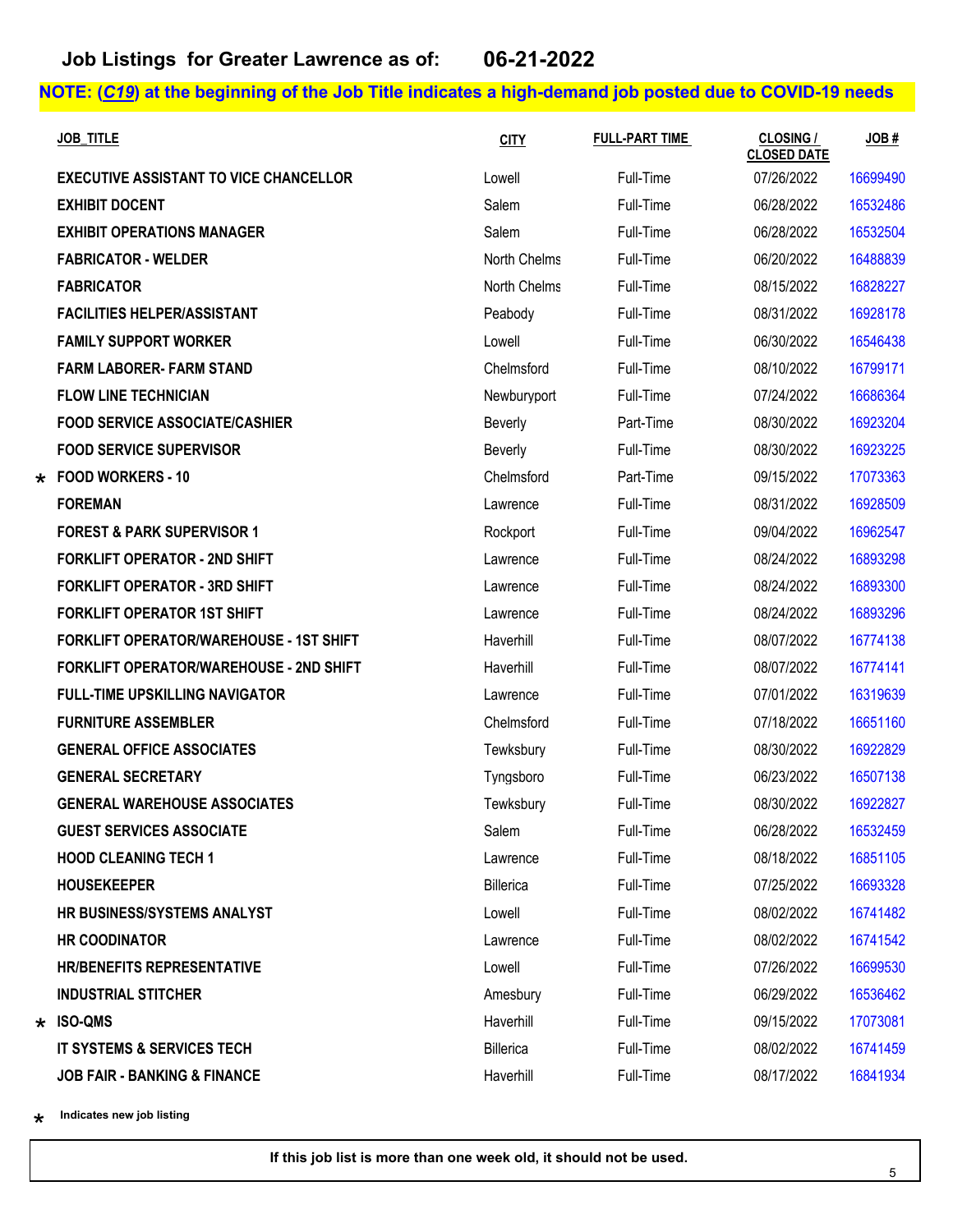| <b>JOB TITLE</b>                               | <b>CITY</b>    | <b>FULL-PART TIME</b> | <b>CLOSING /</b><br><b>CLOSED DATE</b> | JOB#     |
|------------------------------------------------|----------------|-----------------------|----------------------------------------|----------|
| <b>EXECUTIVE ASSISTANT TO VICE CHANCELLOR</b>  | Lowell         | Full-Time             | 07/26/2022                             | 16699490 |
| <b>EXHIBIT DOCENT</b>                          | Salem          | Full-Time             | 06/28/2022                             | 16532486 |
| <b>EXHIBIT OPERATIONS MANAGER</b>              | Salem          | Full-Time             | 06/28/2022                             | 16532504 |
| <b>FABRICATOR - WELDER</b>                     | North Chelms   | Full-Time             | 06/20/2022                             | 16488839 |
| <b>FABRICATOR</b>                              | North Chelms   | Full-Time             | 08/15/2022                             | 16828227 |
| <b>FACILITIES HELPER/ASSISTANT</b>             | Peabody        | Full-Time             | 08/31/2022                             | 16928178 |
| <b>FAMILY SUPPORT WORKER</b>                   | Lowell         | Full-Time             | 06/30/2022                             | 16546438 |
| <b>FARM LABORER- FARM STAND</b>                | Chelmsford     | Full-Time             | 08/10/2022                             | 16799171 |
| <b>FLOW LINE TECHNICIAN</b>                    | Newburyport    | Full-Time             | 07/24/2022                             | 16686364 |
| <b>FOOD SERVICE ASSOCIATE/CASHIER</b>          | <b>Beverly</b> | Part-Time             | 08/30/2022                             | 16923204 |
| <b>FOOD SERVICE SUPERVISOR</b>                 | Beverly        | Full-Time             | 08/30/2022                             | 16923225 |
| * FOOD WORKERS - 10                            | Chelmsford     | Part-Time             | 09/15/2022                             | 17073363 |
| <b>FOREMAN</b>                                 | Lawrence       | Full-Time             | 08/31/2022                             | 16928509 |
| <b>FOREST &amp; PARK SUPERVISOR 1</b>          | Rockport       | Full-Time             | 09/04/2022                             | 16962547 |
| <b>FORKLIFT OPERATOR - 2ND SHIFT</b>           | Lawrence       | Full-Time             | 08/24/2022                             | 16893298 |
| <b>FORKLIFT OPERATOR - 3RD SHIFT</b>           | Lawrence       | Full-Time             | 08/24/2022                             | 16893300 |
| <b>FORKLIFT OPERATOR 1ST SHIFT</b>             | Lawrence       | Full-Time             | 08/24/2022                             | 16893296 |
| <b>FORKLIFT OPERATOR/WAREHOUSE - 1ST SHIFT</b> | Haverhill      | Full-Time             | 08/07/2022                             | 16774138 |
| <b>FORKLIFT OPERATOR/WAREHOUSE - 2ND SHIFT</b> | Haverhill      | Full-Time             | 08/07/2022                             | 16774141 |
| <b>FULL-TIME UPSKILLING NAVIGATOR</b>          | Lawrence       | Full-Time             | 07/01/2022                             | 16319639 |
| <b>FURNITURE ASSEMBLER</b>                     | Chelmsford     | Full-Time             | 07/18/2022                             | 16651160 |
| <b>GENERAL OFFICE ASSOCIATES</b>               | Tewksbury      | Full-Time             | 08/30/2022                             | 16922829 |
| <b>GENERAL SECRETARY</b>                       | Tyngsboro      | Full-Time             | 06/23/2022                             | 16507138 |
| <b>GENERAL WAREHOUSE ASSOCIATES</b>            | Tewksbury      | Full-Time             | 08/30/2022                             | 16922827 |
| <b>GUEST SERVICES ASSOCIATE</b>                | Salem          | Full-Time             | 06/28/2022                             | 16532459 |
| <b>HOOD CLEANING TECH 1</b>                    | Lawrence       | Full-Time             | 08/18/2022                             | 16851105 |
| <b>HOUSEKEEPER</b>                             | Billerica      | Full-Time             | 07/25/2022                             | 16693328 |
| HR BUSINESS/SYSTEMS ANALYST                    | Lowell         | Full-Time             | 08/02/2022                             | 16741482 |
| <b>HR COODINATOR</b>                           | Lawrence       | Full-Time             | 08/02/2022                             | 16741542 |
| <b>HR/BENEFITS REPRESENTATIVE</b>              | Lowell         | Full-Time             | 07/26/2022                             | 16699530 |
| <b>INDUSTRIAL STITCHER</b>                     | Amesbury       | Full-Time             | 06/29/2022                             | 16536462 |
| $\star$ ISO-QMS                                | Haverhill      | Full-Time             | 09/15/2022                             | 17073081 |
| IT SYSTEMS & SERVICES TECH                     | Billerica      | Full-Time             | 08/02/2022                             | 16741459 |
| <b>JOB FAIR - BANKING &amp; FINANCE</b>        | Haverhill      | Full-Time             | 08/17/2022                             | 16841934 |

\*\* **Indicates new job listing**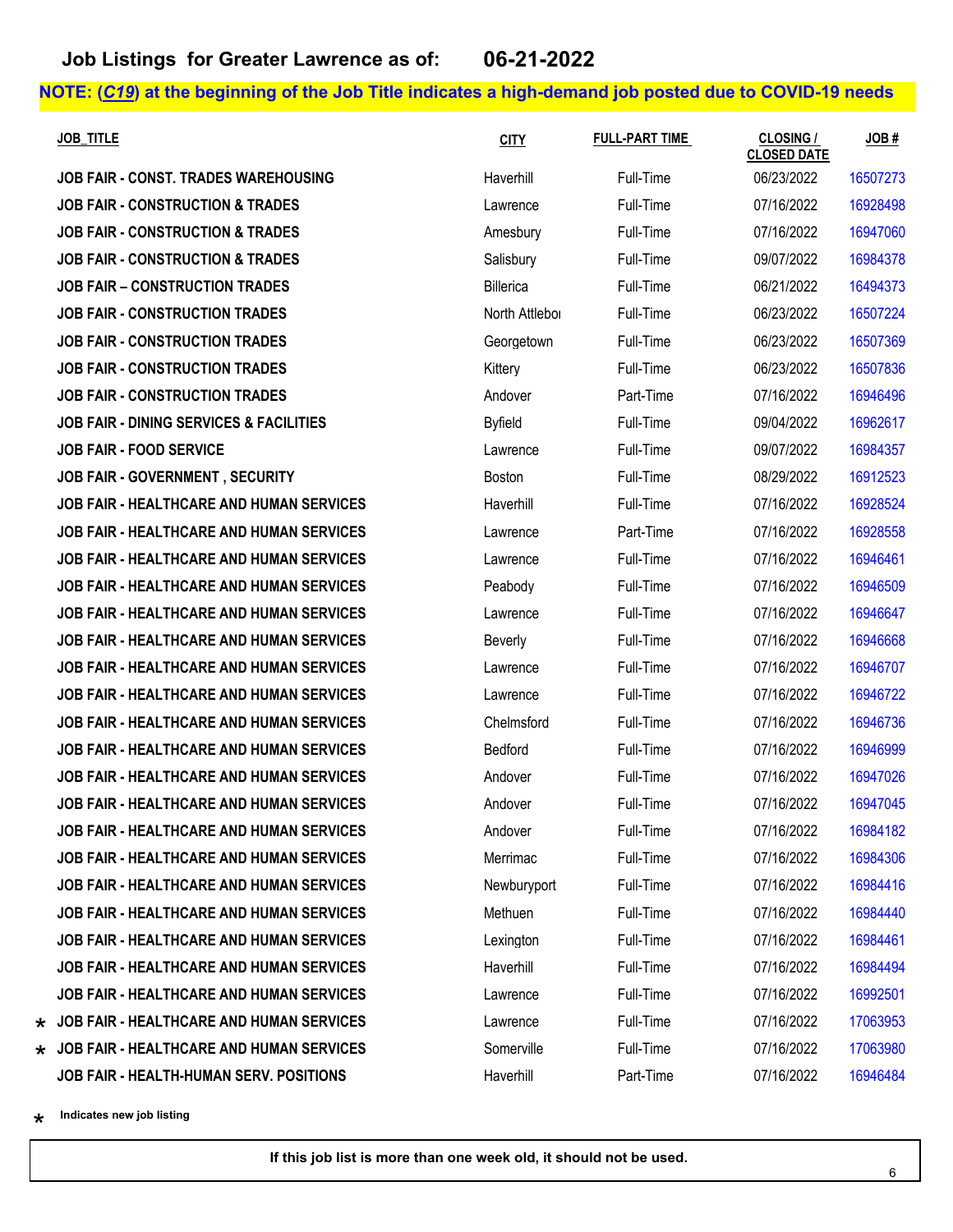| <b>JOB TITLE</b>                                   | <b>CITY</b>    | <b>FULL-PART TIME</b> | <b>CLOSING /</b><br><b>CLOSED DATE</b> | JOB#     |
|----------------------------------------------------|----------------|-----------------------|----------------------------------------|----------|
| <b>JOB FAIR - CONST. TRADES WAREHOUSING</b>        | Haverhill      | Full-Time             | 06/23/2022                             | 16507273 |
| <b>JOB FAIR - CONSTRUCTION &amp; TRADES</b>        | Lawrence       | Full-Time             | 07/16/2022                             | 16928498 |
| <b>JOB FAIR - CONSTRUCTION &amp; TRADES</b>        | Amesbury       | Full-Time             | 07/16/2022                             | 16947060 |
| <b>JOB FAIR - CONSTRUCTION &amp; TRADES</b>        | Salisbury      | Full-Time             | 09/07/2022                             | 16984378 |
| <b>JOB FAIR - CONSTRUCTION TRADES</b>              | Billerica      | Full-Time             | 06/21/2022                             | 16494373 |
| <b>JOB FAIR - CONSTRUCTION TRADES</b>              | North Attlebor | Full-Time             | 06/23/2022                             | 16507224 |
| <b>JOB FAIR - CONSTRUCTION TRADES</b>              | Georgetown     | Full-Time             | 06/23/2022                             | 16507369 |
| <b>JOB FAIR - CONSTRUCTION TRADES</b>              | Kittery        | Full-Time             | 06/23/2022                             | 16507836 |
| <b>JOB FAIR - CONSTRUCTION TRADES</b>              | Andover        | Part-Time             | 07/16/2022                             | 16946496 |
| <b>JOB FAIR - DINING SERVICES &amp; FACILITIES</b> | <b>Byfield</b> | Full-Time             | 09/04/2022                             | 16962617 |
| <b>JOB FAIR - FOOD SERVICE</b>                     | Lawrence       | Full-Time             | 09/07/2022                             | 16984357 |
| JOB FAIR - GOVERNMENT, SECURITY                    | Boston         | Full-Time             | 08/29/2022                             | 16912523 |
| <b>JOB FAIR - HEALTHCARE AND HUMAN SERVICES</b>    | Haverhill      | Full-Time             | 07/16/2022                             | 16928524 |
| <b>JOB FAIR - HEALTHCARE AND HUMAN SERVICES</b>    | Lawrence       | Part-Time             | 07/16/2022                             | 16928558 |
| JOB FAIR - HEALTHCARE AND HUMAN SERVICES           | Lawrence       | Full-Time             | 07/16/2022                             | 16946461 |
| <b>JOB FAIR - HEALTHCARE AND HUMAN SERVICES</b>    | Peabody        | Full-Time             | 07/16/2022                             | 16946509 |
| JOB FAIR - HEALTHCARE AND HUMAN SERVICES           | Lawrence       | Full-Time             | 07/16/2022                             | 16946647 |
| JOB FAIR - HEALTHCARE AND HUMAN SERVICES           | Beverly        | Full-Time             | 07/16/2022                             | 16946668 |
| JOB FAIR - HEALTHCARE AND HUMAN SERVICES           | Lawrence       | Full-Time             | 07/16/2022                             | 16946707 |
| <b>JOB FAIR - HEALTHCARE AND HUMAN SERVICES</b>    | Lawrence       | Full-Time             | 07/16/2022                             | 16946722 |
| JOB FAIR - HEALTHCARE AND HUMAN SERVICES           | Chelmsford     | Full-Time             | 07/16/2022                             | 16946736 |
| <b>JOB FAIR - HEALTHCARE AND HUMAN SERVICES</b>    | Bedford        | Full-Time             | 07/16/2022                             | 16946999 |
| <b>JOB FAIR - HEALTHCARE AND HUMAN SERVICES</b>    | Andover        | Full-Time             | 07/16/2022                             | 16947026 |
| <b>JOB FAIR - HEALTHCARE AND HUMAN SERVICES</b>    | Andover        | Full-Time             | 07/16/2022                             | 16947045 |
| <b>JOB FAIR - HEALTHCARE AND HUMAN SERVICES</b>    | Andover        | Full-Time             | 07/16/2022                             | 16984182 |
| <b>JOB FAIR - HEALTHCARE AND HUMAN SERVICES</b>    | Merrimac       | Full-Time             | 07/16/2022                             | 16984306 |
| <b>JOB FAIR - HEALTHCARE AND HUMAN SERVICES</b>    | Newburyport    | Full-Time             | 07/16/2022                             | 16984416 |
| JOB FAIR - HEALTHCARE AND HUMAN SERVICES           | Methuen        | Full-Time             | 07/16/2022                             | 16984440 |
| <b>JOB FAIR - HEALTHCARE AND HUMAN SERVICES</b>    | Lexington      | Full-Time             | 07/16/2022                             | 16984461 |
| <b>JOB FAIR - HEALTHCARE AND HUMAN SERVICES</b>    | Haverhill      | Full-Time             | 07/16/2022                             | 16984494 |
| <b>JOB FAIR - HEALTHCARE AND HUMAN SERVICES</b>    | Lawrence       | Full-Time             | 07/16/2022                             | 16992501 |
| $\star$ JOB FAIR - HEALTHCARE AND HUMAN SERVICES   | Lawrence       | Full-Time             | 07/16/2022                             | 17063953 |
| $\star$ JOB FAIR - HEALTHCARE AND HUMAN SERVICES   | Somerville     | Full-Time             | 07/16/2022                             | 17063980 |
| JOB FAIR - HEALTH-HUMAN SERV. POSITIONS            | Haverhill      | Part-Time             | 07/16/2022                             | 16946484 |

\*\* **Indicates new job listing**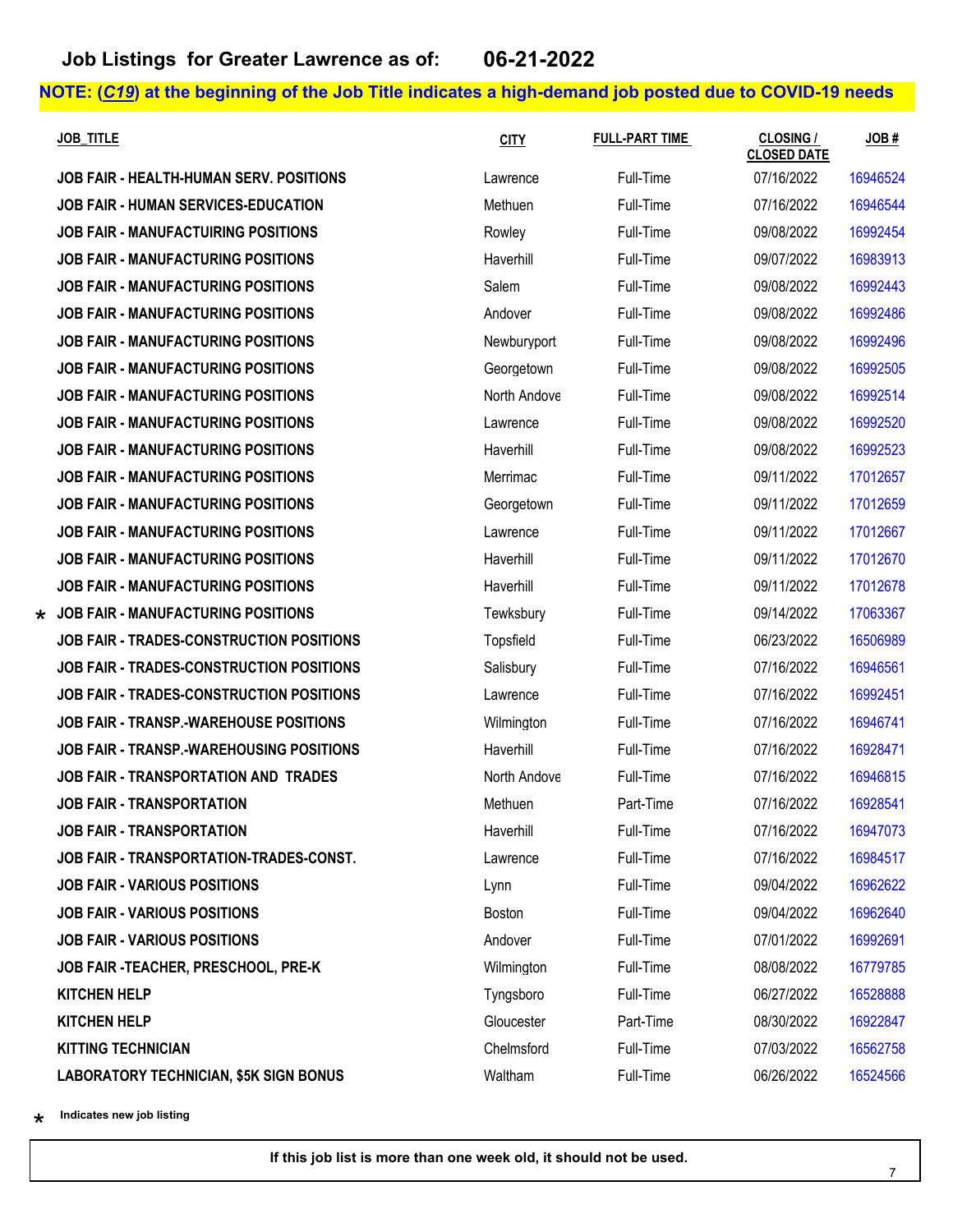**JOB FAIR - HEALTH-HUMAN SERV. POSITIONS JOB FAIR - HUMAN SERVICES-EDUCATION JOB FAIR - MANUFACTUIRING POSITIONS JOB FAIR - MANUFACTURING POSITIONS JOB FAIR - MANUFACTURING POSITIONS JOB FAIR - MANUFACTURING POSITIONS JOB FAIR - MANUFACTURING POSITIONS JOB FAIR - MANUFACTURING POSITIONS JOB FAIR - MANUFACTURING POSITIONS JOB FAIR - MANUFACTURING POSITIONS JOB FAIR - MANUFACTURING POSITIONS JOB FAIR - MANUFACTURING POSITIONS JOB FAIR - MANUFACTURING POSITIONS JOB FAIR - MANUFACTURING POSITIONS JOB FAIR - MANUFACTURING POSITIONS JOB FAIR - MANUFACTURING POSITIONS**  $\star$  JOB FAIR - MANUFACTURING POSITIONS **JOB FAIR - TRADES-CONSTRUCTION POSITIONS JOB FAIR - TRADES-CONSTRUCTION POSITIONS JOB FAIR - TRADES-CONSTRUCTION POSITIONS JOB FAIR - TRANSP.-WAREHOUSE POSITIONS JOB FAIR - TRANSP.-WAREHOUSING POSITIONS JOB FAIR - TRANSPORTATION AND TRADES JOB FAIR - TRANSPORTATION JOB FAIR - TRANSPORTATION JOB FAIR - TRANSPORTATION-TRADES-CONST. JOB FAIR - VARIOUS POSITIONS JOB FAIR - VARIOUS POSITIONS JOB FAIR - VARIOUS POSITIONS JOB FAIR -TEACHER, PRESCHOOL, PRE-K** 

**LABORATORY TECHNICIAN, \$5K SIGN BONUS** 

| <u>JOB_TITLE</u>                          | <b>CITY</b>    | <b>FULL-PART TIME</b> | <b>CLOSING /</b><br><b>CLOSED DATE</b> | JOB#     |
|-------------------------------------------|----------------|-----------------------|----------------------------------------|----------|
| JOB FAIR - HEALTH-HUMAN SERV. POSITIONS   | Lawrence       | Full-Time             | 07/16/2022                             | 16946524 |
| JOB FAIR - HUMAN SERVICES-EDUCATION       | Methuen        | Full-Time             | 07/16/2022                             | 16946544 |
| JOB FAIR - MANUFACTUIRING POSITIONS       | Rowley         | Full-Time             | 09/08/2022                             | 16992454 |
| JOB FAIR - MANUFACTURING POSITIONS        | Haverhill      | Full-Time             | 09/07/2022                             | 16983913 |
| JOB FAIR - MANUFACTURING POSITIONS        | Salem          | Full-Time             | 09/08/2022                             | 16992443 |
| JOB FAIR - MANUFACTURING POSITIONS        | Andover        | Full-Time             | 09/08/2022                             | 16992486 |
| JOB FAIR - MANUFACTURING POSITIONS        | Newburyport    | Full-Time             | 09/08/2022                             | 16992496 |
| JOB FAIR - MANUFACTURING POSITIONS        | Georgetown     | Full-Time             | 09/08/2022                             | 16992505 |
| JOB FAIR - MANUFACTURING POSITIONS        | North Andove   | Full-Time             | 09/08/2022                             | 16992514 |
| JOB FAIR - MANUFACTURING POSITIONS        | Lawrence       | Full-Time             | 09/08/2022                             | 16992520 |
| <b>JOB FAIR - MANUFACTURING POSITIONS</b> | Haverhill      | Full-Time             | 09/08/2022                             | 16992523 |
| JOB FAIR - MANUFACTURING POSITIONS        | Merrimac       | Full-Time             | 09/11/2022                             | 17012657 |
| JOB FAIR - MANUFACTURING POSITIONS        | Georgetown     | Full-Time             | 09/11/2022                             | 17012659 |
| JOB FAIR - MANUFACTURING POSITIONS        | Lawrence       | Full-Time             | 09/11/2022                             | 17012667 |
| JOB FAIR - MANUFACTURING POSITIONS        | Haverhill      | Full-Time             | 09/11/2022                             | 17012670 |
| JOB FAIR - MANUFACTURING POSITIONS        | Haverhill      | Full-Time             | 09/11/2022                             | 17012678 |
| JOB FAIR - MANUFACTURING POSITIONS        | Tewksbury      | Full-Time             | 09/14/2022                             | 17063367 |
| JOB FAIR - TRADES-CONSTRUCTION POSITIONS  | Topsfield      | Full-Time             | 06/23/2022                             | 16506989 |
| JOB FAIR - TRADES-CONSTRUCTION POSITIONS  | Salisbury      | Full-Time             | 07/16/2022                             | 16946561 |
| JOB FAIR - TRADES-CONSTRUCTION POSITIONS  | Lawrence       | Full-Time             | 07/16/2022                             | 16992451 |
| JOB FAIR - TRANSP.-WAREHOUSE POSITIONS    | Wilmington     | Full-Time             | 07/16/2022                             | 16946741 |
| JOB FAIR - TRANSP.-WAREHOUSING POSITIONS  | Haverhill      | Full-Time             | 07/16/2022                             | 16928471 |
| JOB FAIR - TRANSPORTATION AND TRADES      | North Andove   | Full-Time             | 07/16/2022                             | 16946815 |
| <b>JOB FAIR - TRANSPORTATION</b>          | Methuen        | Part-Time             | 07/16/2022                             | 16928541 |
| JOB FAIR - TRANSPORTATION                 | Haverhill      | Full-Time             | 07/16/2022                             | 16947073 |
| JOB FAIR - TRANSPORTATION-TRADES-CONST.   | Lawrence       | Full-Time             | 07/16/2022                             | 16984517 |
| <b>JOB FAIR - VARIOUS POSITIONS</b>       | Lynn           | Full-Time             | 09/04/2022                             | 16962622 |
| <b>JOB FAIR - VARIOUS POSITIONS</b>       | <b>Boston</b>  | Full-Time             | 09/04/2022                             | 16962640 |
| <b>JOB FAIR - VARIOUS POSITIONS</b>       | Andover        | Full-Time             | 07/01/2022                             | 16992691 |
| JOB FAIR -TEACHER, PRESCHOOL, PRE-K       | Wilmington     | Full-Time             | 08/08/2022                             | 16779785 |
| <b>KITCHEN HELP</b>                       | Tyngsboro      | Full-Time             | 06/27/2022                             | 16528888 |
| KITCHEN HELP                              | Gloucester     | Part-Time             | 08/30/2022                             | 16922847 |
| <b>KITTING TECHNICIAN</b>                 | Chelmsford     | Full-Time             | 07/03/2022                             | 16562758 |
| I ARORATORY TECHNICIAN S5K SIGN RONLIS    | <b>Waltham</b> | Full-Time             | 06/26/2022                             | 16524566 |

\*\* **Indicates new job listing**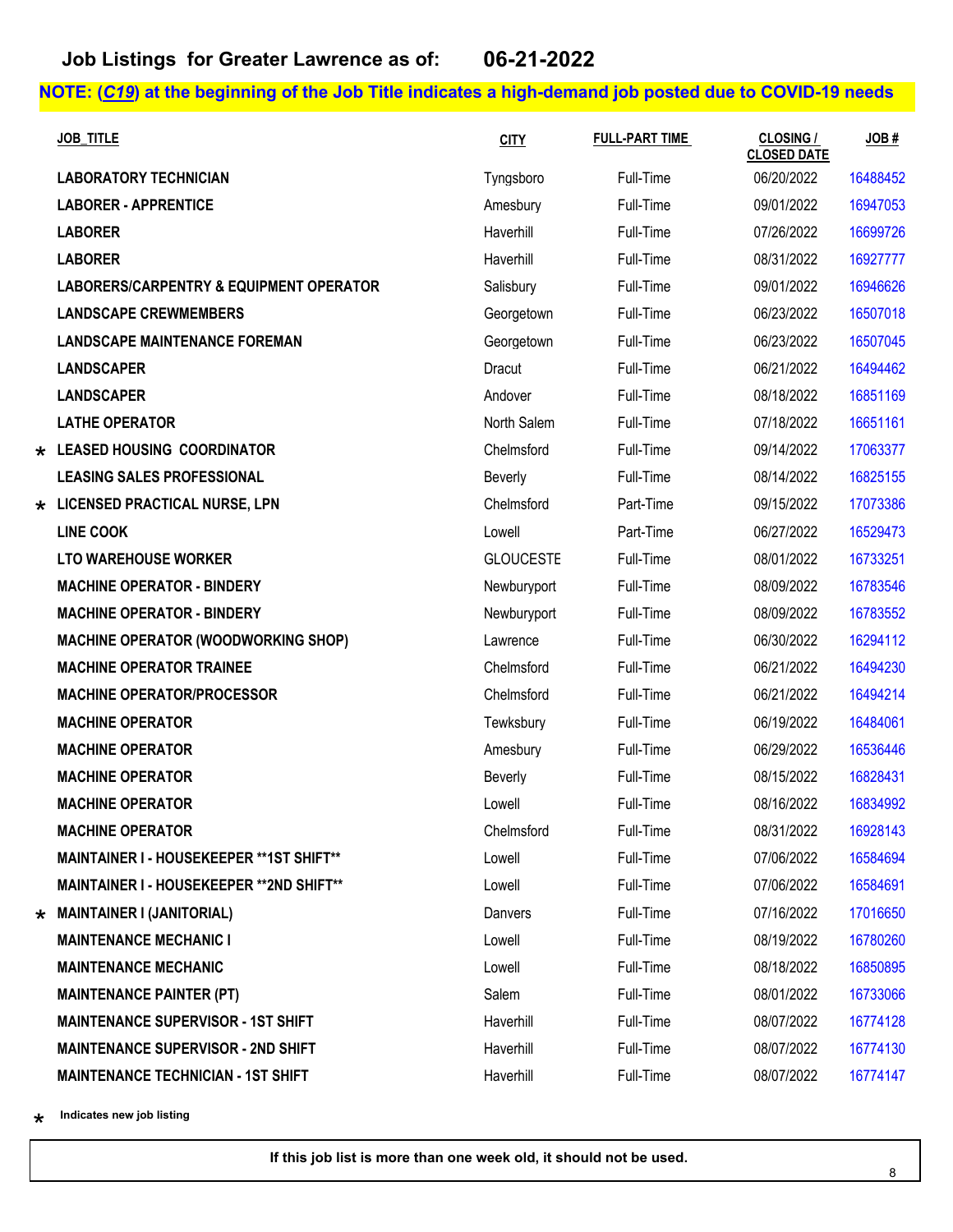| <b>JOB TITLE</b>                                   | <b>CITY</b>      | <b>FULL-PART TIME</b> | <b>CLOSING /</b><br><b>CLOSED DATE</b> | JOB#     |
|----------------------------------------------------|------------------|-----------------------|----------------------------------------|----------|
| <b>LABORATORY TECHNICIAN</b>                       | Tyngsboro        | Full-Time             | 06/20/2022                             | 16488452 |
| <b>LABORER - APPRENTICE</b>                        | Amesbury         | Full-Time             | 09/01/2022                             | 16947053 |
| <b>LABORER</b>                                     | Haverhill        | Full-Time             | 07/26/2022                             | 16699726 |
| <b>LABORER</b>                                     | Haverhill        | Full-Time             | 08/31/2022                             | 16927777 |
| <b>LABORERS/CARPENTRY &amp; EQUIPMENT OPERATOR</b> | Salisbury        | Full-Time             | 09/01/2022                             | 16946626 |
| <b>LANDSCAPE CREWMEMBERS</b>                       | Georgetown       | Full-Time             | 06/23/2022                             | 16507018 |
| <b>LANDSCAPE MAINTENANCE FOREMAN</b>               | Georgetown       | Full-Time             | 06/23/2022                             | 16507045 |
| <b>LANDSCAPER</b>                                  | Dracut           | Full-Time             | 06/21/2022                             | 16494462 |
| <b>LANDSCAPER</b>                                  | Andover          | Full-Time             | 08/18/2022                             | 16851169 |
| <b>LATHE OPERATOR</b>                              | North Salem      | Full-Time             | 07/18/2022                             | 16651161 |
| * LEASED HOUSING COORDINATOR                       | Chelmsford       | Full-Time             | 09/14/2022                             | 17063377 |
| <b>LEASING SALES PROFESSIONAL</b>                  | Beverly          | Full-Time             | 08/14/2022                             | 16825155 |
| * LICENSED PRACTICAL NURSE, LPN                    | Chelmsford       | Part-Time             | 09/15/2022                             | 17073386 |
| <b>LINE COOK</b>                                   | Lowell           | Part-Time             | 06/27/2022                             | 16529473 |
| <b>LTO WAREHOUSE WORKER</b>                        | <b>GLOUCESTE</b> | Full-Time             | 08/01/2022                             | 16733251 |
| <b>MACHINE OPERATOR - BINDERY</b>                  | Newburyport      | Full-Time             | 08/09/2022                             | 16783546 |
| <b>MACHINE OPERATOR - BINDERY</b>                  | Newburyport      | Full-Time             | 08/09/2022                             | 16783552 |
| <b>MACHINE OPERATOR (WOODWORKING SHOP)</b>         | Lawrence         | Full-Time             | 06/30/2022                             | 16294112 |
| <b>MACHINE OPERATOR TRAINEE</b>                    | Chelmsford       | Full-Time             | 06/21/2022                             | 16494230 |
| <b>MACHINE OPERATOR/PROCESSOR</b>                  | Chelmsford       | Full-Time             | 06/21/2022                             | 16494214 |
| <b>MACHINE OPERATOR</b>                            | Tewksbury        | Full-Time             | 06/19/2022                             | 16484061 |
| <b>MACHINE OPERATOR</b>                            | Amesbury         | Full-Time             | 06/29/2022                             | 16536446 |
| <b>MACHINE OPERATOR</b>                            | <b>Beverly</b>   | Full-Time             | 08/15/2022                             | 16828431 |
| <b>MACHINE OPERATOR</b>                            | Lowell           | Full-Time             | 08/16/2022                             | 16834992 |
| <b>MACHINE OPERATOR</b>                            | Chelmsford       | Full-Time             | 08/31/2022                             | 16928143 |
| MAINTAINER I - HOUSEKEEPER ** 1ST SHIFT**          | Lowell           | Full-Time             | 07/06/2022                             | 16584694 |
| <b>MAINTAINER I - HOUSEKEEPER ** 2ND SHIFT**</b>   | Lowell           | Full-Time             | 07/06/2022                             | 16584691 |
| $\star$ MAINTAINER I (JANITORIAL)                  | Danvers          | Full-Time             | 07/16/2022                             | 17016650 |
| <b>MAINTENANCE MECHANIC I</b>                      | Lowell           | Full-Time             | 08/19/2022                             | 16780260 |
| <b>MAINTENANCE MECHANIC</b>                        | Lowell           | Full-Time             | 08/18/2022                             | 16850895 |
| <b>MAINTENANCE PAINTER (PT)</b>                    | Salem            | Full-Time             | 08/01/2022                             | 16733066 |
| <b>MAINTENANCE SUPERVISOR - 1ST SHIFT</b>          | Haverhill        | Full-Time             | 08/07/2022                             | 16774128 |
| <b>MAINTENANCE SUPERVISOR - 2ND SHIFT</b>          | Haverhill        | Full-Time             | 08/07/2022                             | 16774130 |
| <b>MAINTENANCE TECHNICIAN - 1ST SHIFT</b>          | Haverhill        | Full-Time             | 08/07/2022                             | 16774147 |

\*\* **Indicates new job listing**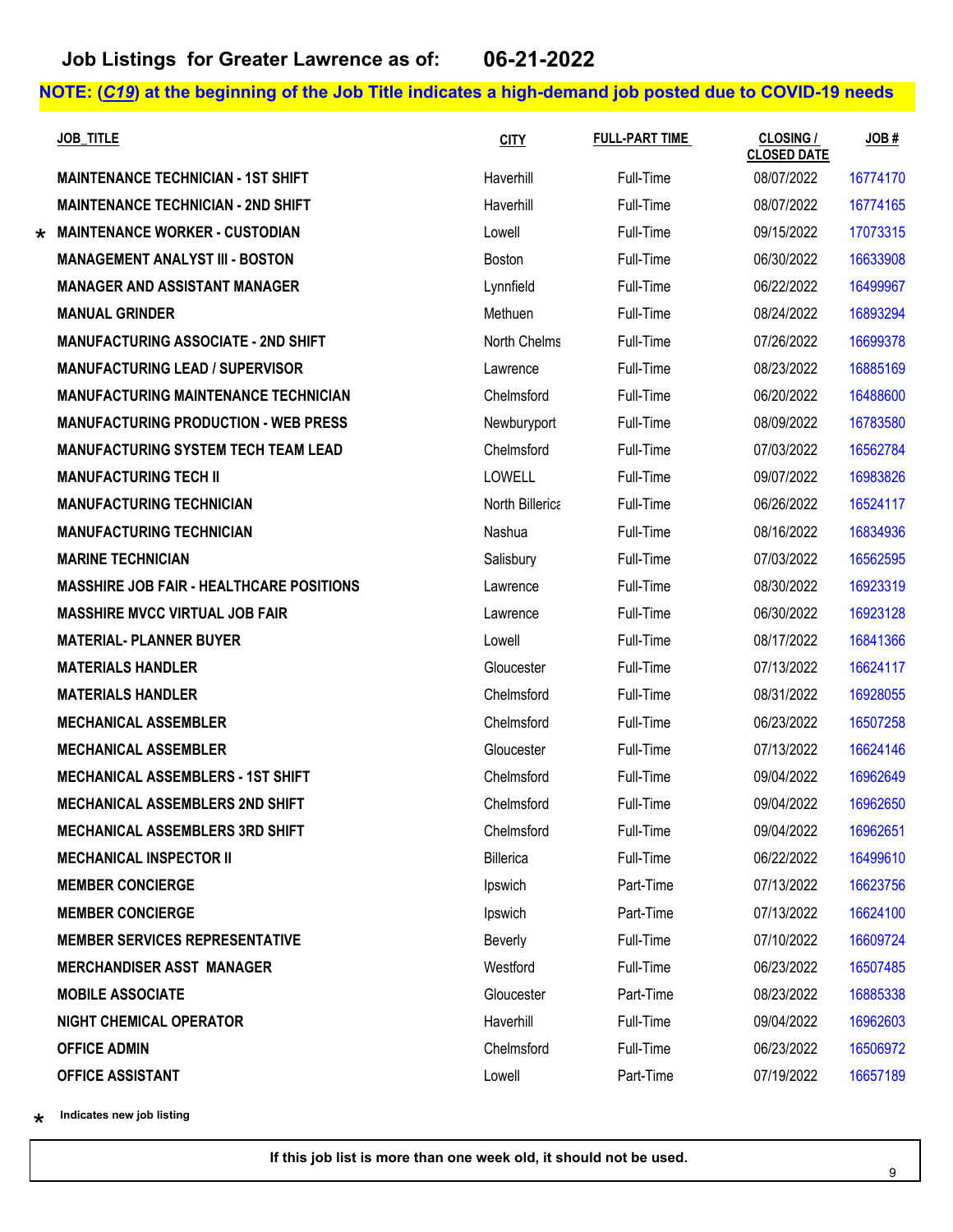|         | <b>JOB TITLE</b>                                | <b>CITY</b>     | <b>FULL-PART TIME</b> | <b>CLOSING /</b><br><b>CLOSED DATE</b> | JOB#     |
|---------|-------------------------------------------------|-----------------|-----------------------|----------------------------------------|----------|
|         | <b>MAINTENANCE TECHNICIAN - 1ST SHIFT</b>       | Haverhill       | Full-Time             | 08/07/2022                             | 16774170 |
|         | <b>MAINTENANCE TECHNICIAN - 2ND SHIFT</b>       | Haverhill       | Full-Time             | 08/07/2022                             | 16774165 |
| $\star$ | <b>MAINTENANCE WORKER - CUSTODIAN</b>           | Lowell          | Full-Time             | 09/15/2022                             | 17073315 |
|         | <b>MANAGEMENT ANALYST III - BOSTON</b>          | <b>Boston</b>   | Full-Time             | 06/30/2022                             | 16633908 |
|         | <b>MANAGER AND ASSISTANT MANAGER</b>            | Lynnfield       | Full-Time             | 06/22/2022                             | 16499967 |
|         | <b>MANUAL GRINDER</b>                           | Methuen         | Full-Time             | 08/24/2022                             | 16893294 |
|         | <b>MANUFACTURING ASSOCIATE - 2ND SHIFT</b>      | North Chelms    | Full-Time             | 07/26/2022                             | 16699378 |
|         | <b>MANUFACTURING LEAD / SUPERVISOR</b>          | Lawrence        | Full-Time             | 08/23/2022                             | 16885169 |
|         | <b>MANUFACTURING MAINTENANCE TECHNICIAN</b>     | Chelmsford      | Full-Time             | 06/20/2022                             | 16488600 |
|         | <b>MANUFACTURING PRODUCTION - WEB PRESS</b>     | Newburyport     | Full-Time             | 08/09/2022                             | 16783580 |
|         | <b>MANUFACTURING SYSTEM TECH TEAM LEAD</b>      | Chelmsford      | Full-Time             | 07/03/2022                             | 16562784 |
|         | <b>MANUFACTURING TECH II</b>                    | <b>LOWELL</b>   | Full-Time             | 09/07/2022                             | 16983826 |
|         | <b>MANUFACTURING TECHNICIAN</b>                 | North Billerica | Full-Time             | 06/26/2022                             | 16524117 |
|         | <b>MANUFACTURING TECHNICIAN</b>                 | Nashua          | Full-Time             | 08/16/2022                             | 16834936 |
|         | <b>MARINE TECHNICIAN</b>                        | Salisbury       | Full-Time             | 07/03/2022                             | 16562595 |
|         | <b>MASSHIRE JOB FAIR - HEALTHCARE POSITIONS</b> | Lawrence        | Full-Time             | 08/30/2022                             | 16923319 |
|         | <b>MASSHIRE MVCC VIRTUAL JOB FAIR</b>           | Lawrence        | Full-Time             | 06/30/2022                             | 16923128 |
|         | <b>MATERIAL- PLANNER BUYER</b>                  | Lowell          | Full-Time             | 08/17/2022                             | 16841366 |
|         | <b>MATERIALS HANDLER</b>                        | Gloucester      | Full-Time             | 07/13/2022                             | 16624117 |
|         | <b>MATERIALS HANDLER</b>                        | Chelmsford      | Full-Time             | 08/31/2022                             | 16928055 |
|         | <b>MECHANICAL ASSEMBLER</b>                     | Chelmsford      | Full-Time             | 06/23/2022                             | 16507258 |
|         | <b>MECHANICAL ASSEMBLER</b>                     | Gloucester      | Full-Time             | 07/13/2022                             | 16624146 |
|         | <b>MECHANICAL ASSEMBLERS - 1ST SHIFT</b>        | Chelmsford      | Full-Time             | 09/04/2022                             | 16962649 |
|         | <b>MECHANICAL ASSEMBLERS 2ND SHIFT</b>          | Chelmsford      | Full-Time             | 09/04/2022                             | 16962650 |
|         | <b>MECHANICAL ASSEMBLERS 3RD SHIFT</b>          | Chelmsford      | Full-Time             | 09/04/2022                             | 16962651 |
|         | <b>MECHANICAL INSPECTOR II</b>                  | Billerica       | Full-Time             | 06/22/2022                             | 16499610 |
|         | <b>MEMBER CONCIERGE</b>                         | Ipswich         | Part-Time             | 07/13/2022                             | 16623756 |
|         | <b>MEMBER CONCIERGE</b>                         | Ipswich         | Part-Time             | 07/13/2022                             | 16624100 |
|         | <b>MEMBER SERVICES REPRESENTATIVE</b>           | Beverly         | Full-Time             | 07/10/2022                             | 16609724 |
|         | <b>MERCHANDISER ASST MANAGER</b>                | Westford        | Full-Time             | 06/23/2022                             | 16507485 |
|         | <b>MOBILE ASSOCIATE</b>                         | Gloucester      | Part-Time             | 08/23/2022                             | 16885338 |
|         | <b>NIGHT CHEMICAL OPERATOR</b>                  | Haverhill       | Full-Time             | 09/04/2022                             | 16962603 |
|         | <b>OFFICE ADMIN</b>                             | Chelmsford      | Full-Time             | 06/23/2022                             | 16506972 |
|         | <b>OFFICE ASSISTANT</b>                         | Lowell          | Part-Time             | 07/19/2022                             | 16657189 |

\*\* **Indicates new job listing**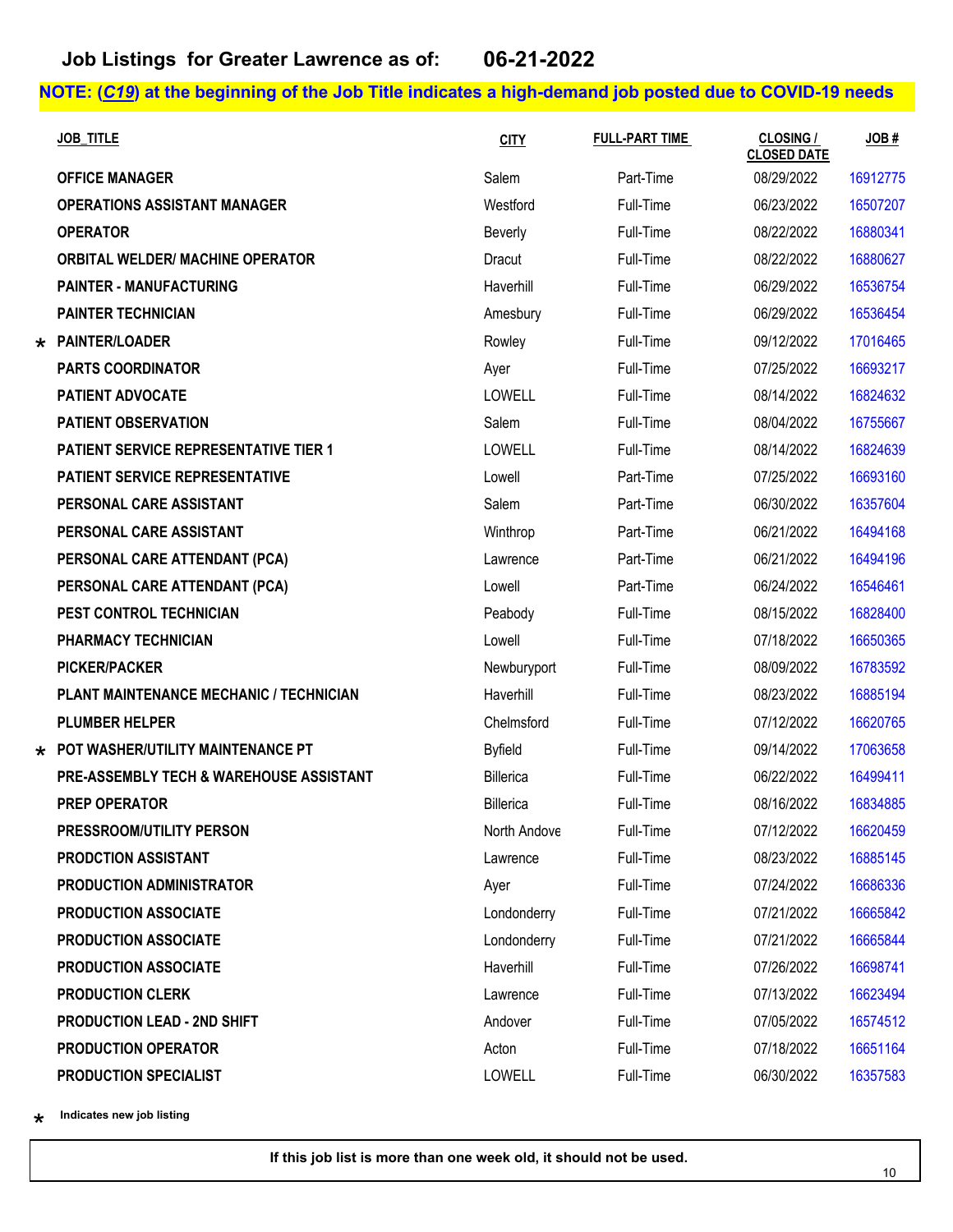| <b>JOB TITLE</b>                                   | <b>CITY</b>    | <b>FULL-PART TIME</b> | <b>CLOSING /</b><br><b>CLOSED DATE</b> | JOB#     |
|----------------------------------------------------|----------------|-----------------------|----------------------------------------|----------|
| <b>OFFICE MANAGER</b>                              | Salem          | Part-Time             | 08/29/2022                             | 16912775 |
| <b>OPERATIONS ASSISTANT MANAGER</b>                | Westford       | Full-Time             | 06/23/2022                             | 16507207 |
| <b>OPERATOR</b>                                    | Beverly        | Full-Time             | 08/22/2022                             | 16880341 |
| <b>ORBITAL WELDER/ MACHINE OPERATOR</b>            | Dracut         | Full-Time             | 08/22/2022                             | 16880627 |
| <b>PAINTER - MANUFACTURING</b>                     | Haverhill      | Full-Time             | 06/29/2022                             | 16536754 |
| <b>PAINTER TECHNICIAN</b>                          | Amesbury       | Full-Time             | 06/29/2022                             | 16536454 |
| * PAINTER/LOADER                                   | Rowley         | Full-Time             | 09/12/2022                             | 17016465 |
| <b>PARTS COORDINATOR</b>                           | Ayer           | Full-Time             | 07/25/2022                             | 16693217 |
| <b>PATIENT ADVOCATE</b>                            | LOWELL         | Full-Time             | 08/14/2022                             | 16824632 |
| <b>PATIENT OBSERVATION</b>                         | Salem          | Full-Time             | 08/04/2022                             | 16755667 |
| <b>PATIENT SERVICE REPRESENTATIVE TIER 1</b>       | <b>LOWELL</b>  | Full-Time             | 08/14/2022                             | 16824639 |
| <b>PATIENT SERVICE REPRESENTATIVE</b>              | Lowell         | Part-Time             | 07/25/2022                             | 16693160 |
| PERSONAL CARE ASSISTANT                            | Salem          | Part-Time             | 06/30/2022                             | 16357604 |
| PERSONAL CARE ASSISTANT                            | Winthrop       | Part-Time             | 06/21/2022                             | 16494168 |
| PERSONAL CARE ATTENDANT (PCA)                      | Lawrence       | Part-Time             | 06/21/2022                             | 16494196 |
| PERSONAL CARE ATTENDANT (PCA)                      | Lowell         | Part-Time             | 06/24/2022                             | 16546461 |
| PEST CONTROL TECHNICIAN                            | Peabody        | Full-Time             | 08/15/2022                             | 16828400 |
| PHARMACY TECHNICIAN                                | Lowell         | Full-Time             | 07/18/2022                             | 16650365 |
| <b>PICKER/PACKER</b>                               | Newburyport    | Full-Time             | 08/09/2022                             | 16783592 |
| PLANT MAINTENANCE MECHANIC / TECHNICIAN            | Haverhill      | Full-Time             | 08/23/2022                             | 16885194 |
| <b>PLUMBER HELPER</b>                              | Chelmsford     | Full-Time             | 07/12/2022                             | 16620765 |
| $\star$ POT WASHER/UTILITY MAINTENANCE PT          | <b>Byfield</b> | Full-Time             | 09/14/2022                             | 17063658 |
| <b>PRE-ASSEMBLY TECH &amp; WAREHOUSE ASSISTANT</b> | Billerica      | Full-Time             | 06/22/2022                             | 16499411 |
| <b>PREP OPERATOR</b>                               | Billerica      | Full-Time             | 08/16/2022                             | 16834885 |
| PRESSROOM/UTILITY PERSON                           | North Andove   | Full-Time             | 07/12/2022                             | 16620459 |
| <b>PRODCTION ASSISTANT</b>                         | Lawrence       | Full-Time             | 08/23/2022                             | 16885145 |
| <b>PRODUCTION ADMINISTRATOR</b>                    | Ayer           | Full-Time             | 07/24/2022                             | 16686336 |
| <b>PRODUCTION ASSOCIATE</b>                        | Londonderry    | Full-Time             | 07/21/2022                             | 16665842 |
| <b>PRODUCTION ASSOCIATE</b>                        | Londonderry    | Full-Time             | 07/21/2022                             | 16665844 |
| <b>PRODUCTION ASSOCIATE</b>                        | Haverhill      | Full-Time             | 07/26/2022                             | 16698741 |
| <b>PRODUCTION CLERK</b>                            | Lawrence       | Full-Time             | 07/13/2022                             | 16623494 |
| <b>PRODUCTION LEAD - 2ND SHIFT</b>                 | Andover        | Full-Time             | 07/05/2022                             | 16574512 |
| PRODUCTION OPERATOR                                | Acton          | Full-Time             | 07/18/2022                             | 16651164 |
| PRODUCTION SPECIALIST                              | <b>LOWELL</b>  | Full-Time             | 06/30/2022                             | 16357583 |

\*\* **Indicates new job listing**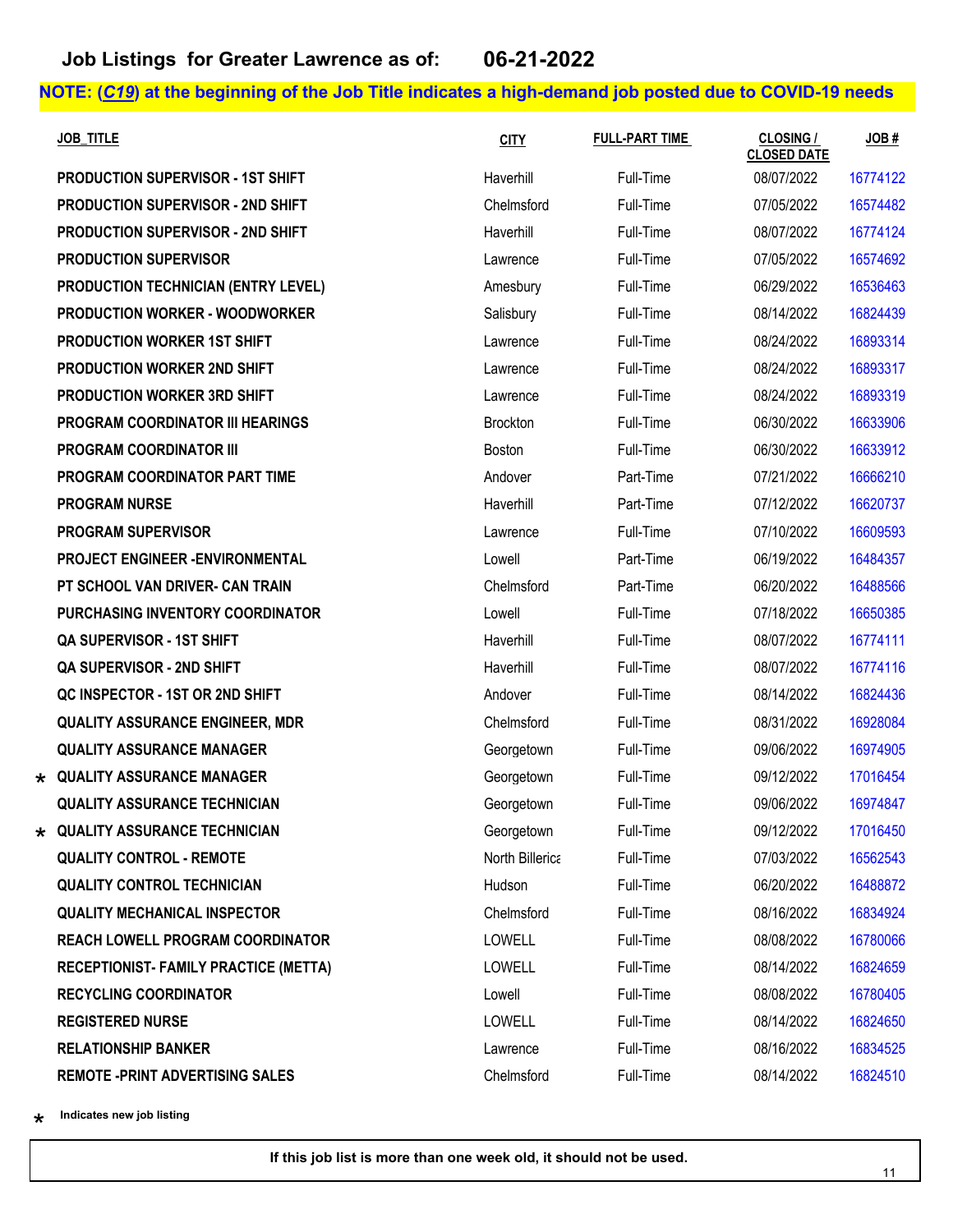| <b>JOB TITLE</b>                            | <b>CITY</b>     | <b>FULL-PART TIME</b> | <b>CLOSING /</b><br><b>CLOSED DATE</b> | JOB#     |
|---------------------------------------------|-----------------|-----------------------|----------------------------------------|----------|
| <b>PRODUCTION SUPERVISOR - 1ST SHIFT</b>    | Haverhill       | Full-Time             | 08/07/2022                             | 16774122 |
| <b>PRODUCTION SUPERVISOR - 2ND SHIFT</b>    | Chelmsford      | Full-Time             | 07/05/2022                             | 16574482 |
| PRODUCTION SUPERVISOR - 2ND SHIFT           | Haverhill       | Full-Time             | 08/07/2022                             | 16774124 |
| <b>PRODUCTION SUPERVISOR</b>                | Lawrence        | Full-Time             | 07/05/2022                             | 16574692 |
| PRODUCTION TECHNICIAN (ENTRY LEVEL)         | Amesbury        | Full-Time             | 06/29/2022                             | 16536463 |
| <b>PRODUCTION WORKER - WOODWORKER</b>       | Salisbury       | Full-Time             | 08/14/2022                             | 16824439 |
| <b>PRODUCTION WORKER 1ST SHIFT</b>          | Lawrence        | Full-Time             | 08/24/2022                             | 16893314 |
| PRODUCTION WORKER 2ND SHIFT                 | Lawrence        | Full-Time             | 08/24/2022                             | 16893317 |
| PRODUCTION WORKER 3RD SHIFT                 | Lawrence        | Full-Time             | 08/24/2022                             | 16893319 |
| <b>PROGRAM COORDINATOR III HEARINGS</b>     | <b>Brockton</b> | Full-Time             | 06/30/2022                             | 16633906 |
| <b>PROGRAM COORDINATOR III</b>              | <b>Boston</b>   | Full-Time             | 06/30/2022                             | 16633912 |
| PROGRAM COORDINATOR PART TIME               | Andover         | Part-Time             | 07/21/2022                             | 16666210 |
| <b>PROGRAM NURSE</b>                        | Haverhill       | Part-Time             | 07/12/2022                             | 16620737 |
| <b>PROGRAM SUPERVISOR</b>                   | Lawrence        | Full-Time             | 07/10/2022                             | 16609593 |
| PROJECT ENGINEER - ENVIRONMENTAL            | Lowell          | Part-Time             | 06/19/2022                             | 16484357 |
| PT SCHOOL VAN DRIVER- CAN TRAIN             | Chelmsford      | Part-Time             | 06/20/2022                             | 16488566 |
| PURCHASING INVENTORY COORDINATOR            | Lowell          | Full-Time             | 07/18/2022                             | 16650385 |
| QA SUPERVISOR - 1ST SHIFT                   | Haverhill       | Full-Time             | 08/07/2022                             | 16774111 |
| <b>QA SUPERVISOR - 2ND SHIFT</b>            | Haverhill       | Full-Time             | 08/07/2022                             | 16774116 |
| QC INSPECTOR - 1ST OR 2ND SHIFT             | Andover         | Full-Time             | 08/14/2022                             | 16824436 |
| <b>QUALITY ASSURANCE ENGINEER, MDR</b>      | Chelmsford      | Full-Time             | 08/31/2022                             | 16928084 |
| <b>QUALITY ASSURANCE MANAGER</b>            | Georgetown      | Full-Time             | 09/06/2022                             | 16974905 |
| $\star$ QUALITY ASSURANCE MANAGER           | Georgetown      | Full-Time             | 09/12/2022                             | 17016454 |
| <b>QUALITY ASSURANCE TECHNICIAN</b>         | Georgetown      | Full-Time             | 09/06/2022                             | 16974847 |
| $\star$ QUALITY ASSURANCE TECHNICIAN        | Georgetown      | Full-Time             | 09/12/2022                             | 17016450 |
| <b>QUALITY CONTROL - REMOTE</b>             | North Billerica | Full-Time             | 07/03/2022                             | 16562543 |
| <b>QUALITY CONTROL TECHNICIAN</b>           | Hudson          | Full-Time             | 06/20/2022                             | 16488872 |
| <b>QUALITY MECHANICAL INSPECTOR</b>         | Chelmsford      | Full-Time             | 08/16/2022                             | 16834924 |
| <b>REACH LOWELL PROGRAM COORDINATOR</b>     | <b>LOWELL</b>   | Full-Time             | 08/08/2022                             | 16780066 |
| <b>RECEPTIONIST-FAMILY PRACTICE (METTA)</b> | <b>LOWELL</b>   | Full-Time             | 08/14/2022                             | 16824659 |
| <b>RECYCLING COORDINATOR</b>                | Lowell          | Full-Time             | 08/08/2022                             | 16780405 |
| <b>REGISTERED NURSE</b>                     | <b>LOWELL</b>   | Full-Time             | 08/14/2022                             | 16824650 |
| <b>RELATIONSHIP BANKER</b>                  | Lawrence        | Full-Time             | 08/16/2022                             | 16834525 |
| <b>REMOTE - PRINT ADVERTISING SALES</b>     | Chelmsford      | Full-Time             | 08/14/2022                             | 16824510 |

\*\* **Indicates new job listing**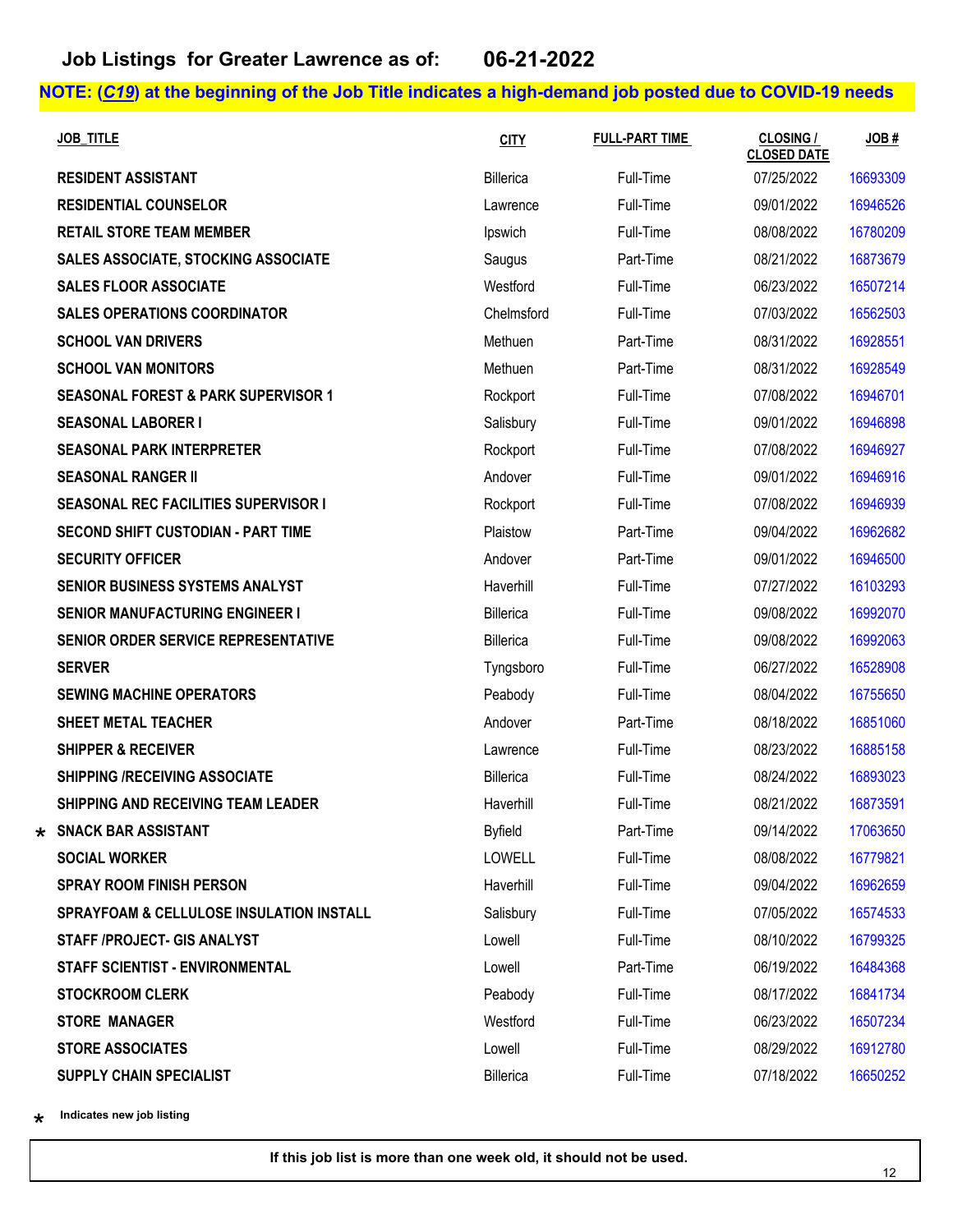| <b>JOB TITLE</b>                                    | <b>CITY</b>      | <b>FULL-PART TIME</b> | CLOSING /<br><b>CLOSED DATE</b> | JOB#     |
|-----------------------------------------------------|------------------|-----------------------|---------------------------------|----------|
| <b>RESIDENT ASSISTANT</b>                           | Billerica        | Full-Time             | 07/25/2022                      | 16693309 |
| <b>RESIDENTIAL COUNSELOR</b>                        | Lawrence         | Full-Time             | 09/01/2022                      | 16946526 |
| <b>RETAIL STORE TEAM MEMBER</b>                     | Ipswich          | Full-Time             | 08/08/2022                      | 16780209 |
| SALES ASSOCIATE, STOCKING ASSOCIATE                 | Saugus           | Part-Time             | 08/21/2022                      | 16873679 |
| <b>SALES FLOOR ASSOCIATE</b>                        | Westford         | Full-Time             | 06/23/2022                      | 16507214 |
| <b>SALES OPERATIONS COORDINATOR</b>                 | Chelmsford       | Full-Time             | 07/03/2022                      | 16562503 |
| <b>SCHOOL VAN DRIVERS</b>                           | Methuen          | Part-Time             | 08/31/2022                      | 16928551 |
| <b>SCHOOL VAN MONITORS</b>                          | Methuen          | Part-Time             | 08/31/2022                      | 16928549 |
| <b>SEASONAL FOREST &amp; PARK SUPERVISOR 1</b>      | Rockport         | Full-Time             | 07/08/2022                      | 16946701 |
| <b>SEASONAL LABORER I</b>                           | Salisbury        | Full-Time             | 09/01/2022                      | 16946898 |
| <b>SEASONAL PARK INTERPRETER</b>                    | Rockport         | Full-Time             | 07/08/2022                      | 16946927 |
| <b>SEASONAL RANGER II</b>                           | Andover          | Full-Time             | 09/01/2022                      | 16946916 |
| <b>SEASONAL REC FACILITIES SUPERVISOR I</b>         | Rockport         | Full-Time             | 07/08/2022                      | 16946939 |
| <b>SECOND SHIFT CUSTODIAN - PART TIME</b>           | Plaistow         | Part-Time             | 09/04/2022                      | 16962682 |
| <b>SECURITY OFFICER</b>                             | Andover          | Part-Time             | 09/01/2022                      | 16946500 |
| SENIOR BUSINESS SYSTEMS ANALYST                     | Haverhill        | Full-Time             | 07/27/2022                      | 16103293 |
| <b>SENIOR MANUFACTURING ENGINEER I</b>              | Billerica        | Full-Time             | 09/08/2022                      | 16992070 |
| <b>SENIOR ORDER SERVICE REPRESENTATIVE</b>          | Billerica        | Full-Time             | 09/08/2022                      | 16992063 |
| <b>SERVER</b>                                       | Tyngsboro        | Full-Time             | 06/27/2022                      | 16528908 |
| <b>SEWING MACHINE OPERATORS</b>                     | Peabody          | Full-Time             | 08/04/2022                      | 16755650 |
| <b>SHEET METAL TEACHER</b>                          | Andover          | Part-Time             | 08/18/2022                      | 16851060 |
| <b>SHIPPER &amp; RECEIVER</b>                       | Lawrence         | Full-Time             | 08/23/2022                      | 16885158 |
| <b>SHIPPING /RECEIVING ASSOCIATE</b>                | Billerica        | Full-Time             | 08/24/2022                      | 16893023 |
| <b>SHIPPING AND RECEIVING TEAM LEADER</b>           | Haverhill        | Full-Time             | 08/21/2022                      | 16873591 |
| $\star$ SNACK BAR ASSISTANT                         | <b>Byfield</b>   | Part-Time             | 09/14/2022                      | 17063650 |
| <b>SOCIAL WORKER</b>                                | <b>LOWELL</b>    | Full-Time             | 08/08/2022                      | 16779821 |
| <b>SPRAY ROOM FINISH PERSON</b>                     | Haverhill        | Full-Time             | 09/04/2022                      | 16962659 |
| <b>SPRAYFOAM &amp; CELLULOSE INSULATION INSTALL</b> | Salisbury        | Full-Time             | 07/05/2022                      | 16574533 |
| STAFF /PROJECT- GIS ANALYST                         | Lowell           | Full-Time             | 08/10/2022                      | 16799325 |
| STAFF SCIENTIST - ENVIRONMENTAL                     | Lowell           | Part-Time             | 06/19/2022                      | 16484368 |
| <b>STOCKROOM CLERK</b>                              | Peabody          | Full-Time             | 08/17/2022                      | 16841734 |
| <b>STORE MANAGER</b>                                | Westford         | Full-Time             | 06/23/2022                      | 16507234 |
| <b>STORE ASSOCIATES</b>                             | Lowell           | Full-Time             | 08/29/2022                      | 16912780 |
| SUPPLY CHAIN SPECIALIST                             | <b>Billerica</b> | Full-Time             | 07/18/2022                      | 16650252 |

\*\* **Indicates new job listing**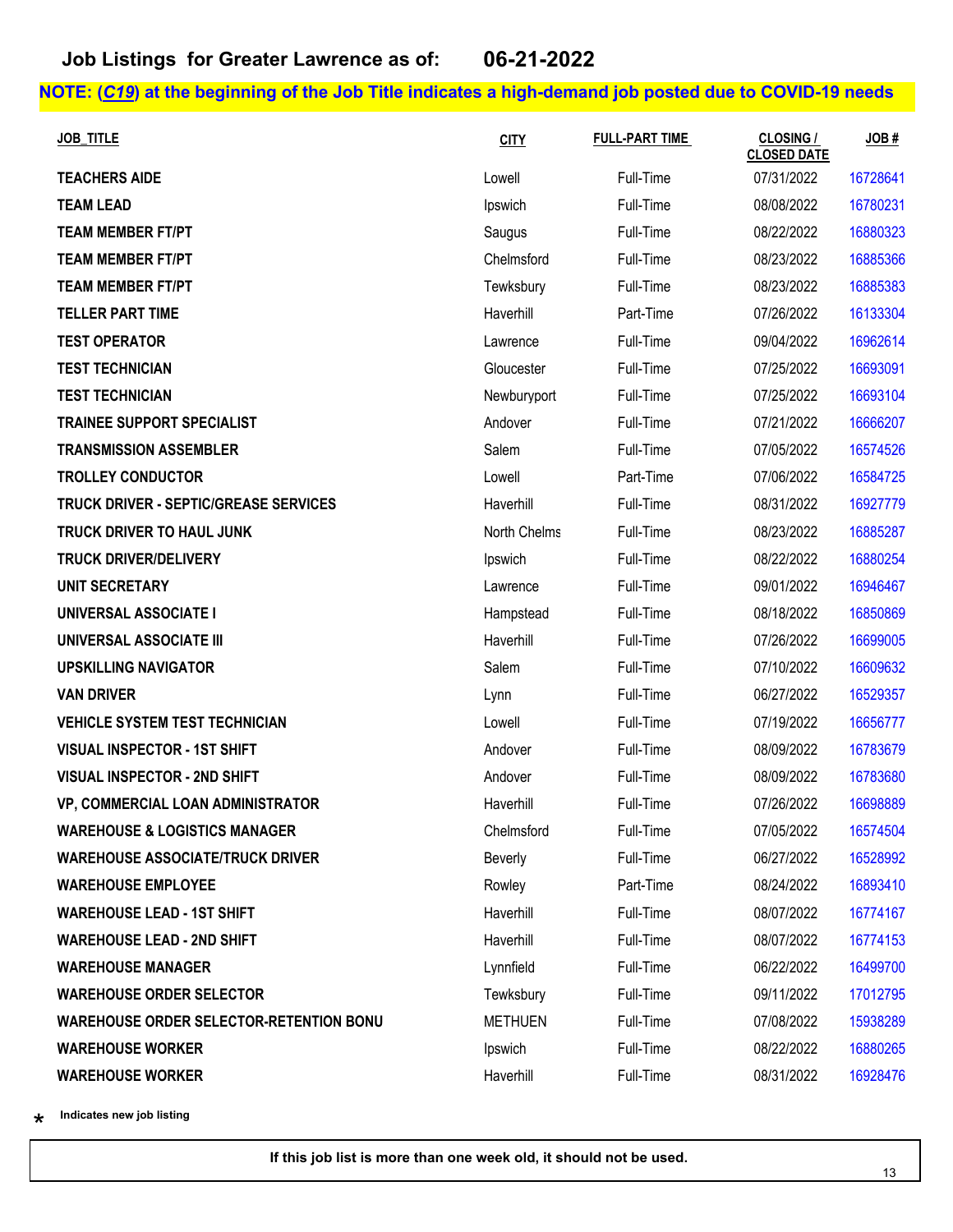| <b>JOB TITLE</b>                               | <b>CITY</b>    | <b>FULL-PART TIME</b> | <b>CLOSING /</b><br><b>CLOSED DATE</b> | JOB#     |
|------------------------------------------------|----------------|-----------------------|----------------------------------------|----------|
| <b>TEACHERS AIDE</b>                           | Lowell         | Full-Time             | 07/31/2022                             | 16728641 |
| <b>TEAM LEAD</b>                               | Ipswich        | Full-Time             | 08/08/2022                             | 16780231 |
| <b>TEAM MEMBER FT/PT</b>                       | Saugus         | Full-Time             | 08/22/2022                             | 16880323 |
| <b>TEAM MEMBER FT/PT</b>                       | Chelmsford     | Full-Time             | 08/23/2022                             | 16885366 |
| <b>TEAM MEMBER FT/PT</b>                       | Tewksbury      | Full-Time             | 08/23/2022                             | 16885383 |
| <b>TELLER PART TIME</b>                        | Haverhill      | Part-Time             | 07/26/2022                             | 16133304 |
| <b>TEST OPERATOR</b>                           | Lawrence       | Full-Time             | 09/04/2022                             | 16962614 |
| <b>TEST TECHNICIAN</b>                         | Gloucester     | Full-Time             | 07/25/2022                             | 16693091 |
| <b>TEST TECHNICIAN</b>                         | Newburyport    | Full-Time             | 07/25/2022                             | 16693104 |
| <b>TRAINEE SUPPORT SPECIALIST</b>              | Andover        | Full-Time             | 07/21/2022                             | 16666207 |
| <b>TRANSMISSION ASSEMBLER</b>                  | Salem          | Full-Time             | 07/05/2022                             | 16574526 |
| <b>TROLLEY CONDUCTOR</b>                       | Lowell         | Part-Time             | 07/06/2022                             | 16584725 |
| <b>TRUCK DRIVER - SEPTIC/GREASE SERVICES</b>   | Haverhill      | Full-Time             | 08/31/2022                             | 16927779 |
| TRUCK DRIVER TO HAUL JUNK                      | North Chelms   | Full-Time             | 08/23/2022                             | 16885287 |
| <b>TRUCK DRIVER/DELIVERY</b>                   | Ipswich        | Full-Time             | 08/22/2022                             | 16880254 |
| <b>UNIT SECRETARY</b>                          | Lawrence       | Full-Time             | 09/01/2022                             | 16946467 |
| <b>UNIVERSAL ASSOCIATE I</b>                   | Hampstead      | Full-Time             | 08/18/2022                             | 16850869 |
| <b>UNIVERSAL ASSOCIATE III</b>                 | Haverhill      | Full-Time             | 07/26/2022                             | 16699005 |
| <b>UPSKILLING NAVIGATOR</b>                    | Salem          | Full-Time             | 07/10/2022                             | 16609632 |
| <b>VAN DRIVER</b>                              | Lynn           | Full-Time             | 06/27/2022                             | 16529357 |
| <b>VEHICLE SYSTEM TEST TECHNICIAN</b>          | Lowell         | Full-Time             | 07/19/2022                             | 16656777 |
| <b>VISUAL INSPECTOR - 1ST SHIFT</b>            | Andover        | Full-Time             | 08/09/2022                             | 16783679 |
| <b>VISUAL INSPECTOR - 2ND SHIFT</b>            | Andover        | Full-Time             | 08/09/2022                             | 16783680 |
| VP, COMMERCIAL LOAN ADMINISTRATOR              | Haverhill      | Full-Time             | 07/26/2022                             | 16698889 |
| <b>WAREHOUSE &amp; LOGISTICS MANAGER</b>       | Chelmsford     | Full-Time             | 07/05/2022                             | 16574504 |
| <b>WAREHOUSE ASSOCIATE/TRUCK DRIVER</b>        | Beverly        | Full-Time             | 06/27/2022                             | 16528992 |
| <b>WAREHOUSE EMPLOYEE</b>                      | Rowley         | Part-Time             | 08/24/2022                             | 16893410 |
| <b>WAREHOUSE LEAD - 1ST SHIFT</b>              | Haverhill      | Full-Time             | 08/07/2022                             | 16774167 |
| <b>WAREHOUSE LEAD - 2ND SHIFT</b>              | Haverhill      | Full-Time             | 08/07/2022                             | 16774153 |
| <b>WAREHOUSE MANAGER</b>                       | Lynnfield      | Full-Time             | 06/22/2022                             | 16499700 |
| <b>WAREHOUSE ORDER SELECTOR</b>                | Tewksbury      | Full-Time             | 09/11/2022                             | 17012795 |
| <b>WAREHOUSE ORDER SELECTOR-RETENTION BONU</b> | <b>METHUEN</b> | Full-Time             | 07/08/2022                             | 15938289 |
| <b>WAREHOUSE WORKER</b>                        | Ipswich        | Full-Time             | 08/22/2022                             | 16880265 |
| <b>WAREHOUSE WORKER</b>                        | Haverhill      | Full-Time             | 08/31/2022                             | 16928476 |

\*\* **Indicates new job listing**